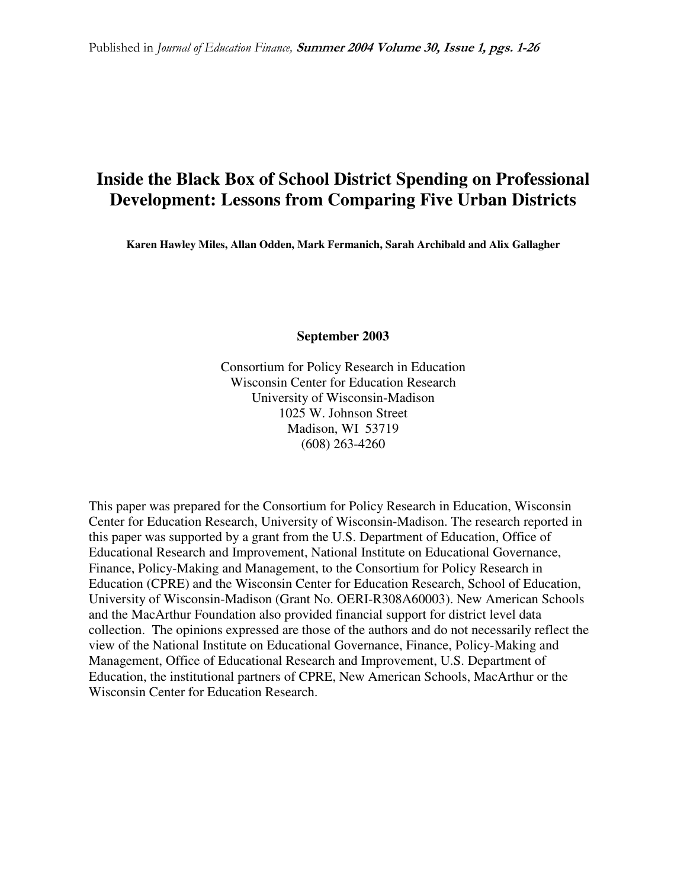# **Inside the Black Box of School District Spending on Professional Development: Lessons from Comparing Five Urban Districts**

**Karen Hawley Miles, Allan Odden, Mark Fermanich, Sarah Archibald and Alix Gallagher** 

**September 2003** 

Consortium for Policy Research in Education Wisconsin Center for Education Research University of Wisconsin-Madison 1025 W. Johnson Street Madison, WI 53719 (608) 263-4260

This paper was prepared for the Consortium for Policy Research in Education, Wisconsin Center for Education Research, University of Wisconsin-Madison. The research reported in this paper was supported by a grant from the U.S. Department of Education, Office of Educational Research and Improvement, National Institute on Educational Governance, Finance, Policy-Making and Management, to the Consortium for Policy Research in Education (CPRE) and the Wisconsin Center for Education Research, School of Education, University of Wisconsin-Madison (Grant No. OERI-R308A60003). New American Schools and the MacArthur Foundation also provided financial support for district level data collection. The opinions expressed are those of the authors and do not necessarily reflect the view of the National Institute on Educational Governance, Finance, Policy-Making and Management, Office of Educational Research and Improvement, U.S. Department of Education, the institutional partners of CPRE, New American Schools, MacArthur or the Wisconsin Center for Education Research.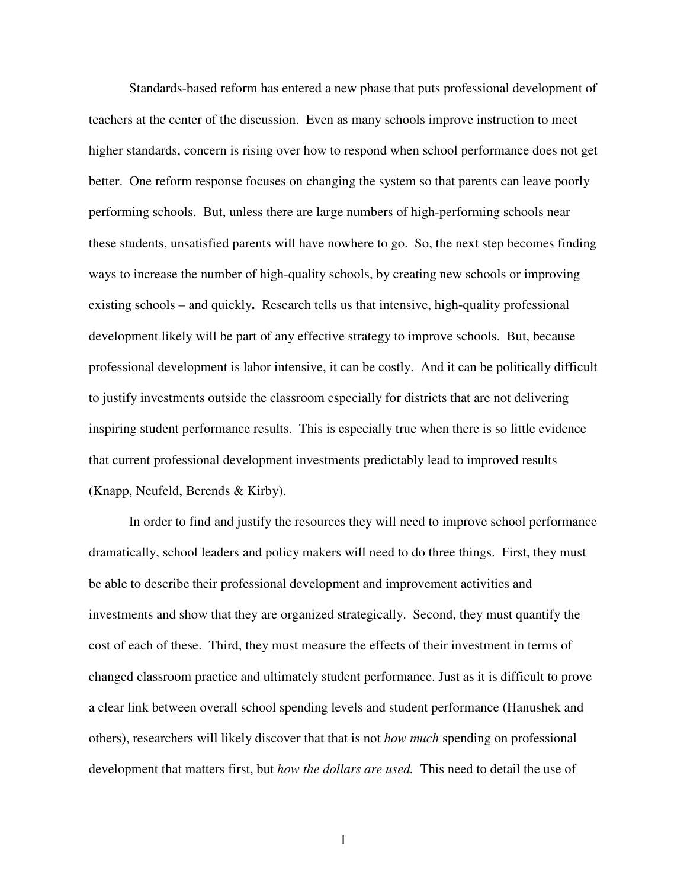Standards-based reform has entered a new phase that puts professional development of teachers at the center of the discussion. Even as many schools improve instruction to meet higher standards, concern is rising over how to respond when school performance does not get better. One reform response focuses on changing the system so that parents can leave poorly performing schools. But, unless there are large numbers of high-performing schools near these students, unsatisfied parents will have nowhere to go. So, the next step becomes finding ways to increase the number of high-quality schools, by creating new schools or improving existing schools – and quickly**.** Research tells us that intensive, high-quality professional development likely will be part of any effective strategy to improve schools. But, because professional development is labor intensive, it can be costly. And it can be politically difficult to justify investments outside the classroom especially for districts that are not delivering inspiring student performance results. This is especially true when there is so little evidence that current professional development investments predictably lead to improved results (Knapp, Neufeld, Berends & Kirby).

In order to find and justify the resources they will need to improve school performance dramatically, school leaders and policy makers will need to do three things. First, they must be able to describe their professional development and improvement activities and investments and show that they are organized strategically. Second, they must quantify the cost of each of these. Third, they must measure the effects of their investment in terms of changed classroom practice and ultimately student performance. Just as it is difficult to prove a clear link between overall school spending levels and student performance (Hanushek and others), researchers will likely discover that that is not *how much* spending on professional development that matters first, but *how the dollars are used.* This need to detail the use of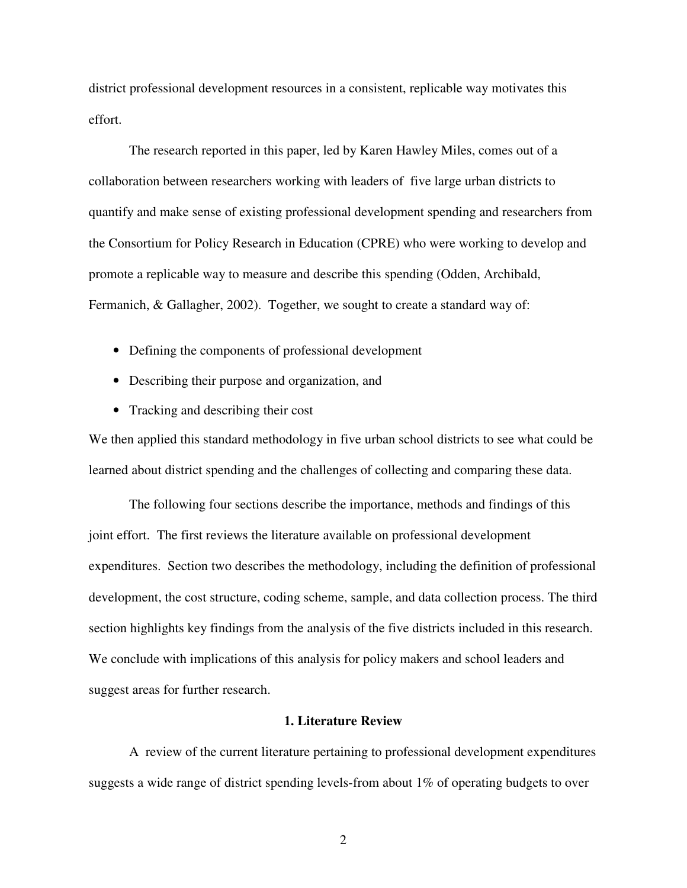district professional development resources in a consistent, replicable way motivates this effort.

 The research reported in this paper, led by Karen Hawley Miles, comes out of a collaboration between researchers working with leaders of five large urban districts to quantify and make sense of existing professional development spending and researchers from the Consortium for Policy Research in Education (CPRE) who were working to develop and promote a replicable way to measure and describe this spending (Odden, Archibald, Fermanich, & Gallagher, 2002). Together, we sought to create a standard way of:

- Defining the components of professional development
- Describing their purpose and organization, and
- Tracking and describing their cost

We then applied this standard methodology in five urban school districts to see what could be learned about district spending and the challenges of collecting and comparing these data.

 The following four sections describe the importance, methods and findings of this joint effort. The first reviews the literature available on professional development expenditures. Section two describes the methodology, including the definition of professional development, the cost structure, coding scheme, sample, and data collection process. The third section highlights key findings from the analysis of the five districts included in this research. We conclude with implications of this analysis for policy makers and school leaders and suggest areas for further research.

## **1. Literature Review**

 A review of the current literature pertaining to professional development expenditures suggests a wide range of district spending levels-from about 1% of operating budgets to over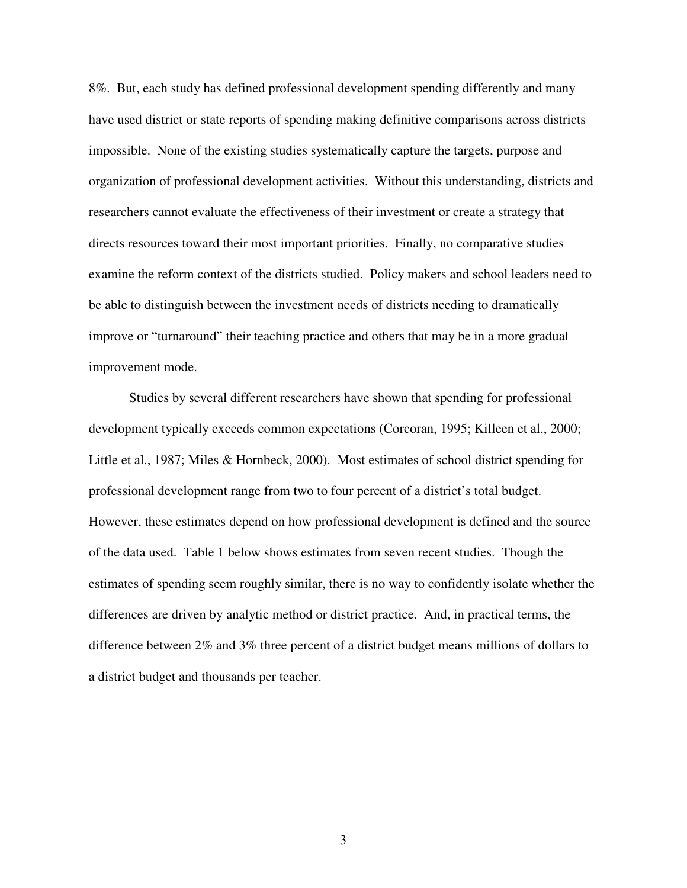8%. But, each study has defined professional development spending differently and many have used district or state reports of spending making definitive comparisons across districts impossible. None of the existing studies systematically capture the targets, purpose and organization of professional development activities. Without this understanding, districts and researchers cannot evaluate the effectiveness of their investment or create a strategy that directs resources toward their most important priorities. Finally, no comparative studies examine the reform context of the districts studied. Policy makers and school leaders need to be able to distinguish between the investment needs of districts needing to dramatically improve or "turnaround" their teaching practice and others that may be in a more gradual improvement mode.

Studies by several different researchers have shown that spending for professional development typically exceeds common expectations (Corcoran, 1995; Killeen et al., 2000; Little et al., 1987; Miles & Hornbeck, 2000). Most estimates of school district spending for professional development range from two to four percent of a district's total budget. However, these estimates depend on how professional development is defined and the source of the data used. Table 1 below shows estimates from seven recent studies. Though the estimates of spending seem roughly similar, there is no way to confidently isolate whether the differences are driven by analytic method or district practice. And, in practical terms, the difference between 2% and 3% three percent of a district budget means millions of dollars to a district budget and thousands per teacher.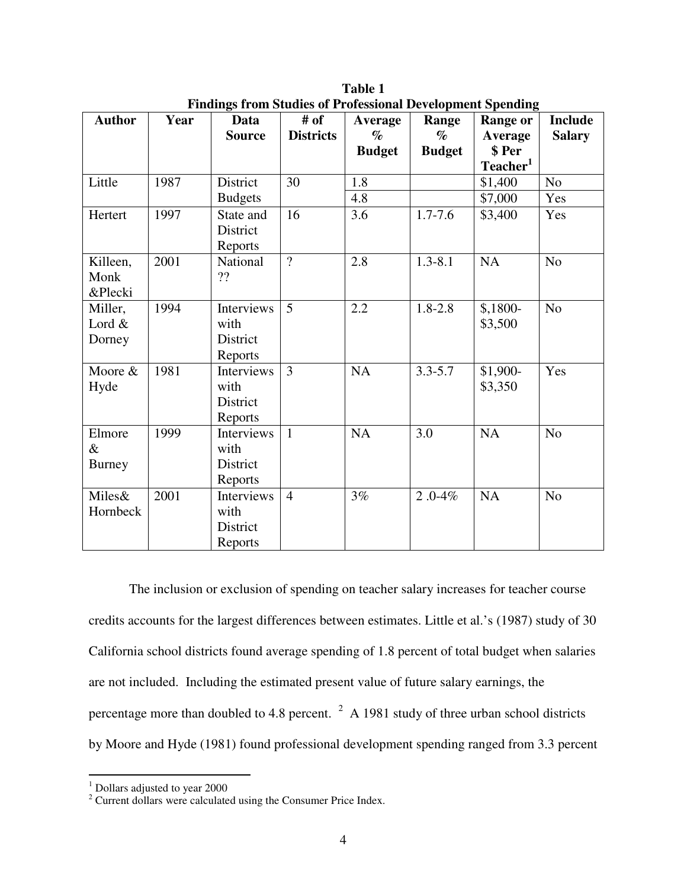| <b>Author</b> | Year | <u>r manis n'om staats of i forestoma Development Spenamy</u><br>Data | # of             | Average       | Range         | <b>Range or</b>      | <b>Include</b> |
|---------------|------|-----------------------------------------------------------------------|------------------|---------------|---------------|----------------------|----------------|
|               |      | <b>Source</b>                                                         | <b>Districts</b> | $\%$          | $\%$          | <b>Average</b>       | <b>Salary</b>  |
|               |      |                                                                       |                  | <b>Budget</b> | <b>Budget</b> | \$ Per               |                |
|               |      |                                                                       |                  |               |               | Teacher <sup>1</sup> |                |
| Little        | 1987 | District                                                              | 30               | 1.8           |               | \$1,400              | N <sub>o</sub> |
|               |      | <b>Budgets</b>                                                        |                  | 4.8           |               | \$7,000              | Yes            |
| Hertert       | 1997 | State and                                                             | 16               | 3.6           | $1.7 - 7.6$   | \$3,400              | Yes            |
|               |      | District                                                              |                  |               |               |                      |                |
|               |      | Reports                                                               |                  |               |               |                      |                |
| Killeen,      | 2001 | National                                                              | $\overline{?}$   | 2.8           | $1.3 - 8.1$   | NA                   | No             |
| Monk          |      | ??                                                                    |                  |               |               |                      |                |
| &Plecki       |      |                                                                       |                  |               |               |                      |                |
| Miller,       | 1994 | Interviews                                                            | $\overline{5}$   | 2.2           | $1.8 - 2.8$   | $$,1800-$            | No             |
| Lord &        |      | with                                                                  |                  |               |               | \$3,500              |                |
| Dorney        |      | District                                                              |                  |               |               |                      |                |
|               |      | Reports                                                               |                  |               |               |                      |                |
| Moore &       | 1981 | Interviews                                                            | $\overline{3}$   | NA            | $3.3 - 5.7$   | \$1,900-             | Yes            |
| Hyde          |      | with                                                                  |                  |               |               | \$3,350              |                |
|               |      | District                                                              |                  |               |               |                      |                |
|               |      | Reports                                                               |                  |               |               |                      |                |
| Elmore        | 1999 | Interviews                                                            | $\mathbf{1}$     | <b>NA</b>     | 3.0           | NA                   | N <sub>o</sub> |
| $\&$          |      | with                                                                  |                  |               |               |                      |                |
| <b>Burney</b> |      | District                                                              |                  |               |               |                      |                |
|               |      | Reports                                                               |                  |               |               |                      |                |
| Miles&        | 2001 | Interviews                                                            | $\overline{4}$   | 3%            | $2.0 - 4\%$   | NA                   | No             |
| Hornbeck      |      | with                                                                  |                  |               |               |                      |                |
|               |      | District                                                              |                  |               |               |                      |                |
|               |      | Reports                                                               |                  |               |               |                      |                |

**Table 1 Findings from Studies of Professional Development Spending** 

The inclusion or exclusion of spending on teacher salary increases for teacher course credits accounts for the largest differences between estimates. Little et al.'s (1987) study of 30 California school districts found average spending of 1.8 percent of total budget when salaries are not included. Including the estimated present value of future salary earnings, the percentage more than doubled to 4.8 percent.  $2 \text{ A}$  1981 study of three urban school districts by Moore and Hyde (1981) found professional development spending ranged from 3.3 percent

 1 Dollars adjusted to year 2000

<sup>&</sup>lt;sup>2</sup> Current dollars were calculated using the Consumer Price Index.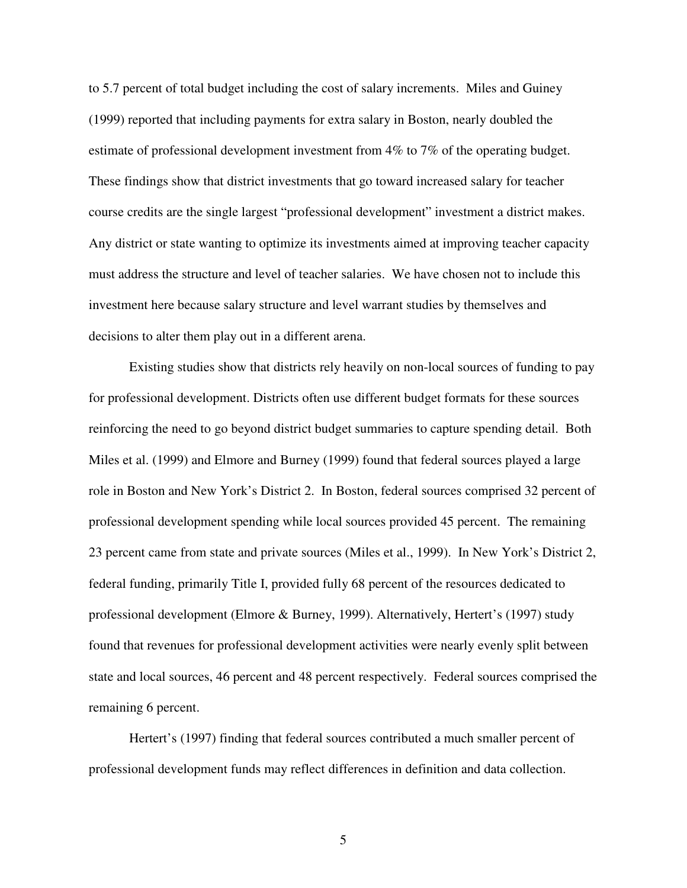to 5.7 percent of total budget including the cost of salary increments. Miles and Guiney (1999) reported that including payments for extra salary in Boston, nearly doubled the estimate of professional development investment from 4% to 7% of the operating budget. These findings show that district investments that go toward increased salary for teacher course credits are the single largest "professional development" investment a district makes. Any district or state wanting to optimize its investments aimed at improving teacher capacity must address the structure and level of teacher salaries. We have chosen not to include this investment here because salary structure and level warrant studies by themselves and decisions to alter them play out in a different arena.

Existing studies show that districts rely heavily on non-local sources of funding to pay for professional development. Districts often use different budget formats for these sources reinforcing the need to go beyond district budget summaries to capture spending detail. Both Miles et al. (1999) and Elmore and Burney (1999) found that federal sources played a large role in Boston and New York's District 2. In Boston, federal sources comprised 32 percent of professional development spending while local sources provided 45 percent. The remaining 23 percent came from state and private sources (Miles et al., 1999). In New York's District 2, federal funding, primarily Title I, provided fully 68 percent of the resources dedicated to professional development (Elmore & Burney, 1999). Alternatively, Hertert's (1997) study found that revenues for professional development activities were nearly evenly split between state and local sources, 46 percent and 48 percent respectively. Federal sources comprised the remaining 6 percent.

Hertert's (1997) finding that federal sources contributed a much smaller percent of professional development funds may reflect differences in definition and data collection.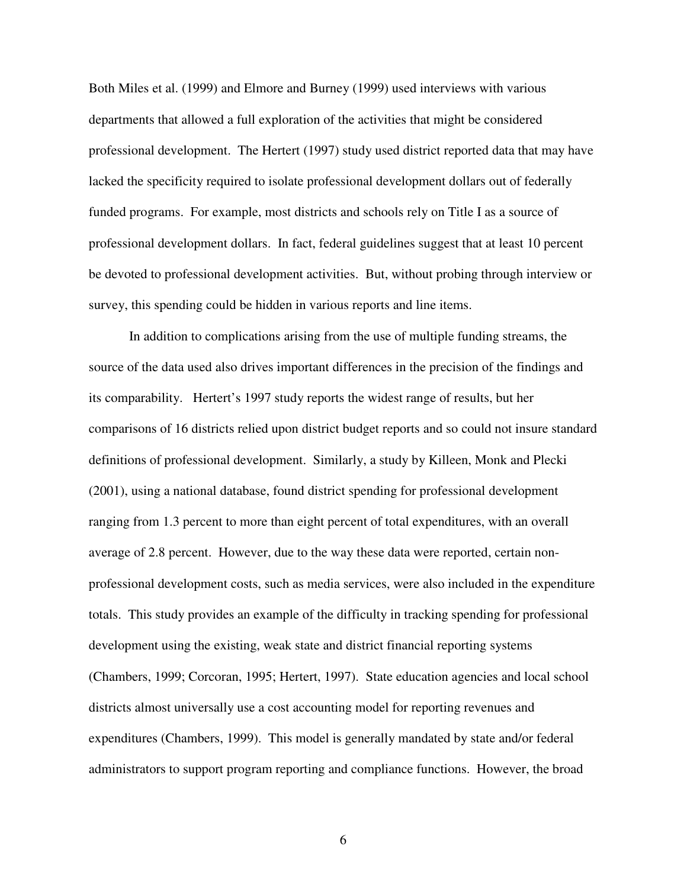Both Miles et al. (1999) and Elmore and Burney (1999) used interviews with various departments that allowed a full exploration of the activities that might be considered professional development. The Hertert (1997) study used district reported data that may have lacked the specificity required to isolate professional development dollars out of federally funded programs. For example, most districts and schools rely on Title I as a source of professional development dollars. In fact, federal guidelines suggest that at least 10 percent be devoted to professional development activities. But, without probing through interview or survey, this spending could be hidden in various reports and line items.

In addition to complications arising from the use of multiple funding streams, the source of the data used also drives important differences in the precision of the findings and its comparability. Hertert's 1997 study reports the widest range of results, but her comparisons of 16 districts relied upon district budget reports and so could not insure standard definitions of professional development. Similarly, a study by Killeen, Monk and Plecki (2001), using a national database, found district spending for professional development ranging from 1.3 percent to more than eight percent of total expenditures, with an overall average of 2.8 percent. However, due to the way these data were reported, certain nonprofessional development costs, such as media services, were also included in the expenditure totals. This study provides an example of the difficulty in tracking spending for professional development using the existing, weak state and district financial reporting systems (Chambers, 1999; Corcoran, 1995; Hertert, 1997). State education agencies and local school districts almost universally use a cost accounting model for reporting revenues and expenditures (Chambers, 1999). This model is generally mandated by state and/or federal administrators to support program reporting and compliance functions. However, the broad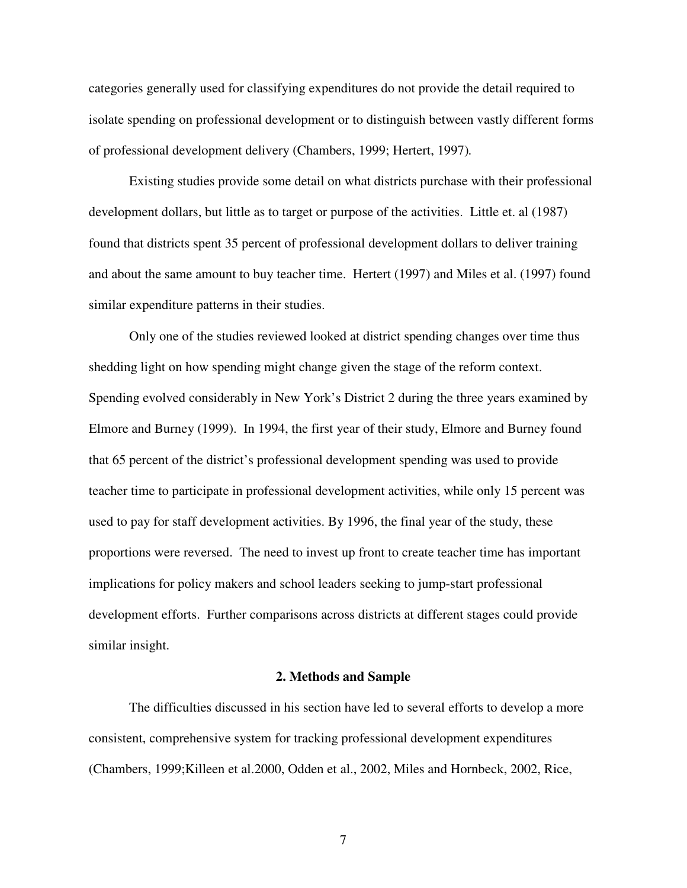categories generally used for classifying expenditures do not provide the detail required to isolate spending on professional development or to distinguish between vastly different forms of professional development delivery (Chambers, 1999; Hertert, 1997)*.* 

Existing studies provide some detail on what districts purchase with their professional development dollars, but little as to target or purpose of the activities. Little et. al (1987) found that districts spent 35 percent of professional development dollars to deliver training and about the same amount to buy teacher time. Hertert (1997) and Miles et al. (1997) found similar expenditure patterns in their studies.

Only one of the studies reviewed looked at district spending changes over time thus shedding light on how spending might change given the stage of the reform context. Spending evolved considerably in New York's District 2 during the three years examined by Elmore and Burney (1999). In 1994, the first year of their study, Elmore and Burney found that 65 percent of the district's professional development spending was used to provide teacher time to participate in professional development activities, while only 15 percent was used to pay for staff development activities. By 1996, the final year of the study, these proportions were reversed. The need to invest up front to create teacher time has important implications for policy makers and school leaders seeking to jump-start professional development efforts. Further comparisons across districts at different stages could provide similar insight.

#### **2. Methods and Sample**

The difficulties discussed in his section have led to several efforts to develop a more consistent, comprehensive system for tracking professional development expenditures (Chambers, 1999;Killeen et al.2000, Odden et al., 2002, Miles and Hornbeck, 2002, Rice,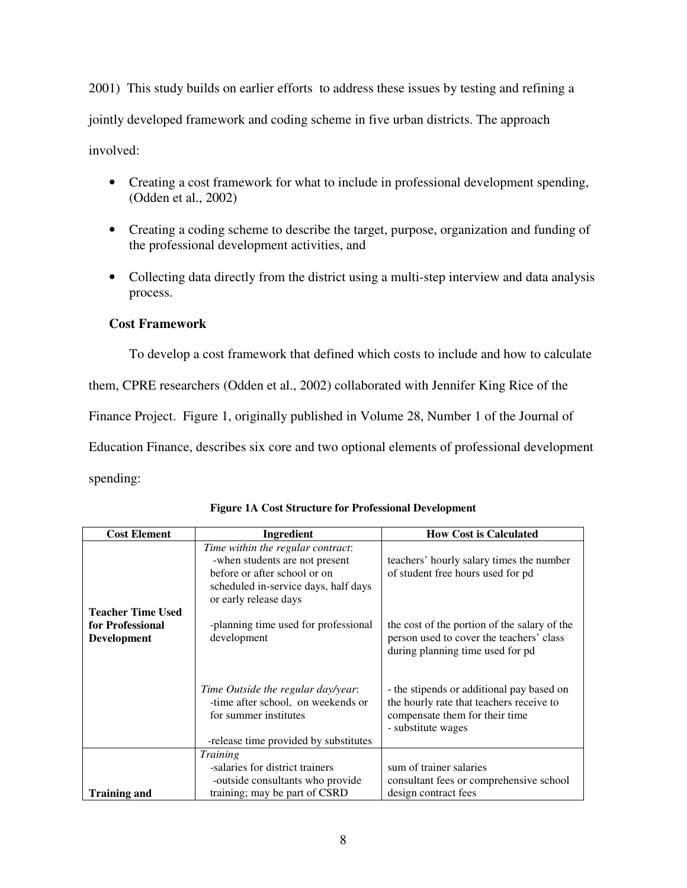2001) This study builds on earlier efforts to address these issues by testing and refining a jointly developed framework and coding scheme in five urban districts. The approach involved:

- Creating a cost framework for what to include in professional development spending, (Odden et al., 2002)
- Creating a coding scheme to describe the target, purpose, organization and funding of the professional development activities, and
- Collecting data directly from the district using a multi-step interview and data analysis process.

## **Cost Framework**

To develop a cost framework that defined which costs to include and how to calculate

them, CPRE researchers (Odden et al., 2002) collaborated with Jennifer King Rice of the

Finance Project. Figure 1, originally published in Volume 28, Number 1 of the Journal of

Education Finance, describes six core and two optional elements of professional development

spending:

| <b>Cost Element</b>                                                | Ingredient                                                                                                                                                           | <b>How Cost is Calculated</b>                                                                                                                 |
|--------------------------------------------------------------------|----------------------------------------------------------------------------------------------------------------------------------------------------------------------|-----------------------------------------------------------------------------------------------------------------------------------------------|
|                                                                    | Time within the regular contract:<br>-when students are not present<br>before or after school or on<br>scheduled in-service days, half days<br>or early release days | teachers' hourly salary times the number<br>of student free hours used for pd                                                                 |
| <b>Teacher Time Used</b><br>for Professional<br><b>Development</b> | -planning time used for professional<br>development                                                                                                                  | the cost of the portion of the salary of the<br>person used to cover the teachers' class<br>during planning time used for pd                  |
|                                                                    | Time Outside the regular day/year:<br>-time after school, on weekends or<br>for summer institutes<br>-release time provided by substitutes                           | - the stipends or additional pay based on<br>the hourly rate that teachers receive to<br>compensate them for their time<br>- substitute wages |
|                                                                    | <i>Training</i>                                                                                                                                                      |                                                                                                                                               |
|                                                                    | -salaries for district trainers<br>-outside consultants who provide                                                                                                  | sum of trainer salaries<br>consultant fees or comprehensive school                                                                            |
| <b>Training and</b>                                                | training; may be part of CSRD                                                                                                                                        | design contract fees                                                                                                                          |

**Figure 1A Cost Structure for Professional Development**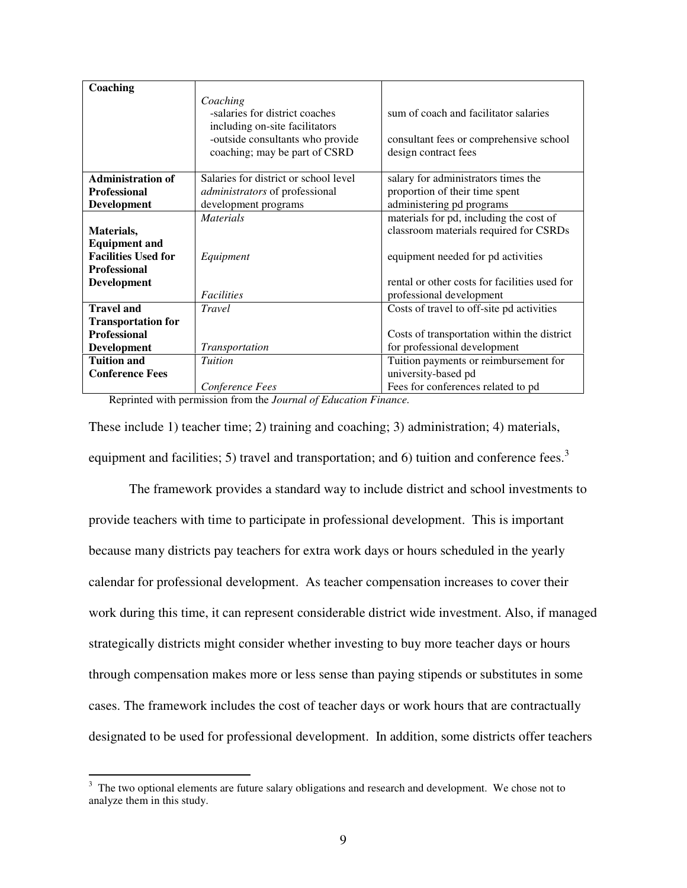| Coaching                   |                                                                                                                  |                                                                                  |
|----------------------------|------------------------------------------------------------------------------------------------------------------|----------------------------------------------------------------------------------|
|                            | Coaching<br>-salaries for district coaches<br>including on-site facilitators<br>-outside consultants who provide | sum of coach and facilitator salaries<br>consultant fees or comprehensive school |
|                            | coaching; may be part of CSRD                                                                                    | design contract fees                                                             |
| <b>Administration of</b>   | Salaries for district or school level                                                                            | salary for administrators times the                                              |
| <b>Professional</b>        | administrators of professional                                                                                   | proportion of their time spent                                                   |
| Development                | development programs                                                                                             | administering pd programs                                                        |
|                            | <b>Materials</b>                                                                                                 | materials for pd, including the cost of                                          |
| Materials,                 |                                                                                                                  | classroom materials required for CSRDs                                           |
| <b>Equipment and</b>       |                                                                                                                  |                                                                                  |
| <b>Facilities Used for</b> | Equipment                                                                                                        | equipment needed for pd activities                                               |
| <b>Professional</b>        |                                                                                                                  |                                                                                  |
| Development                |                                                                                                                  | rental or other costs for facilities used for                                    |
|                            | <b>Facilities</b>                                                                                                | professional development                                                         |
| <b>Travel and</b>          | <b>Travel</b>                                                                                                    | Costs of travel to off-site pd activities                                        |
| <b>Transportation for</b>  |                                                                                                                  |                                                                                  |
| <b>Professional</b>        |                                                                                                                  | Costs of transportation within the district                                      |
| <b>Development</b>         | <i>Transportation</i>                                                                                            | for professional development                                                     |
| <b>Tuition and</b>         | <b>Tuition</b>                                                                                                   | Tuition payments or reimbursement for                                            |
| <b>Conference Fees</b>     |                                                                                                                  | university-based pd                                                              |
|                            | Conference Fees                                                                                                  | Fees for conferences related to pd                                               |

Reprinted with permission from the *Journal of Education Finance.*

These include 1) teacher time; 2) training and coaching; 3) administration; 4) materials, equipment and facilities; 5) travel and transportation; and 6) tuition and conference fees.<sup>3</sup>

The framework provides a standard way to include district and school investments to provide teachers with time to participate in professional development. This is important because many districts pay teachers for extra work days or hours scheduled in the yearly calendar for professional development. As teacher compensation increases to cover their work during this time, it can represent considerable district wide investment. Also, if managed strategically districts might consider whether investing to buy more teacher days or hours through compensation makes more or less sense than paying stipends or substitutes in some cases. The framework includes the cost of teacher days or work hours that are contractually designated to be used for professional development. In addition, some districts offer teachers

<sup>&</sup>lt;sup>3</sup> The two optional elements are future salary obligations and research and development. We chose not to analyze them in this study.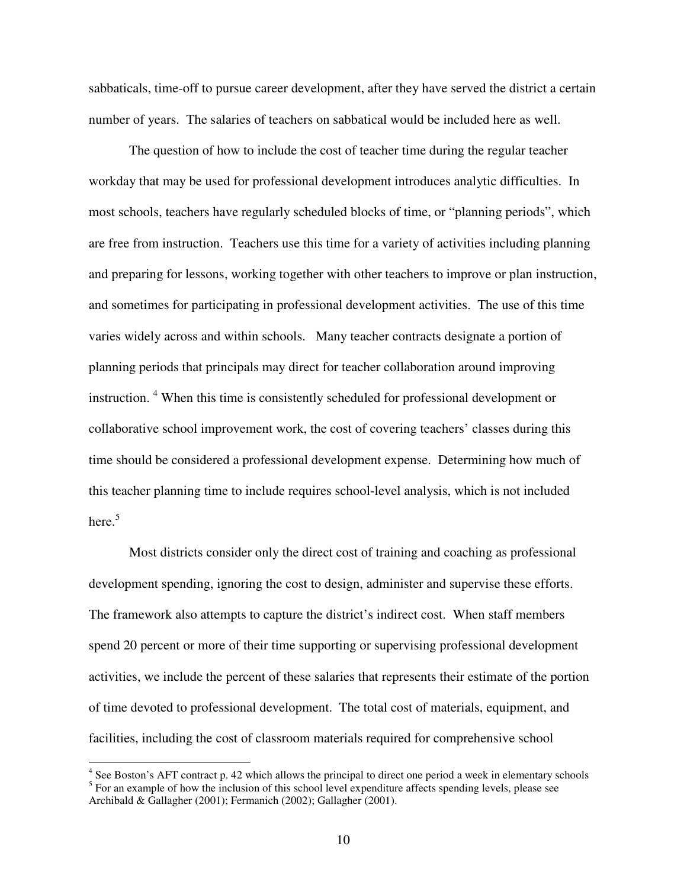sabbaticals, time-off to pursue career development, after they have served the district a certain number of years. The salaries of teachers on sabbatical would be included here as well.

The question of how to include the cost of teacher time during the regular teacher workday that may be used for professional development introduces analytic difficulties. In most schools, teachers have regularly scheduled blocks of time, or "planning periods", which are free from instruction. Teachers use this time for a variety of activities including planning and preparing for lessons, working together with other teachers to improve or plan instruction, and sometimes for participating in professional development activities. The use of this time varies widely across and within schools. Many teacher contracts designate a portion of planning periods that principals may direct for teacher collaboration around improving instruction.<sup>4</sup> When this time is consistently scheduled for professional development or collaborative school improvement work, the cost of covering teachers' classes during this time should be considered a professional development expense. Determining how much of this teacher planning time to include requires school-level analysis, which is not included here.<sup>5</sup>

Most districts consider only the direct cost of training and coaching as professional development spending, ignoring the cost to design, administer and supervise these efforts. The framework also attempts to capture the district's indirect cost. When staff members spend 20 percent or more of their time supporting or supervising professional development activities, we include the percent of these salaries that represents their estimate of the portion of time devoted to professional development. The total cost of materials, equipment, and facilities, including the cost of classroom materials required for comprehensive school

 4 See Boston's AFT contract p. 42 which allows the principal to direct one period a week in elementary schools  $<sup>5</sup>$  For an example of how the inclusion of this school level expenditure affects spending levels, please see</sup> Archibald & Gallagher (2001); Fermanich (2002); Gallagher (2001).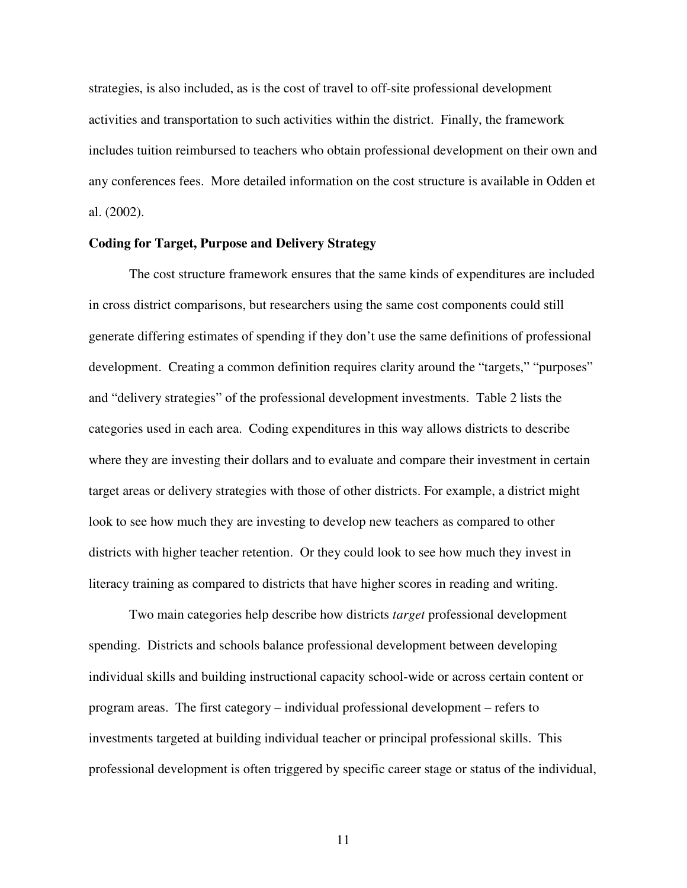strategies, is also included, as is the cost of travel to off-site professional development activities and transportation to such activities within the district. Finally, the framework includes tuition reimbursed to teachers who obtain professional development on their own and any conferences fees. More detailed information on the cost structure is available in Odden et al. (2002).

#### **Coding for Target, Purpose and Delivery Strategy**

 The cost structure framework ensures that the same kinds of expenditures are included in cross district comparisons, but researchers using the same cost components could still generate differing estimates of spending if they don't use the same definitions of professional development. Creating a common definition requires clarity around the "targets," "purposes" and "delivery strategies" of the professional development investments. Table 2 lists the categories used in each area. Coding expenditures in this way allows districts to describe where they are investing their dollars and to evaluate and compare their investment in certain target areas or delivery strategies with those of other districts. For example, a district might look to see how much they are investing to develop new teachers as compared to other districts with higher teacher retention. Or they could look to see how much they invest in literacy training as compared to districts that have higher scores in reading and writing.

 Two main categories help describe how districts *target* professional development spending. Districts and schools balance professional development between developing individual skills and building instructional capacity school-wide or across certain content or program areas. The first category – individual professional development – refers to investments targeted at building individual teacher or principal professional skills. This professional development is often triggered by specific career stage or status of the individual,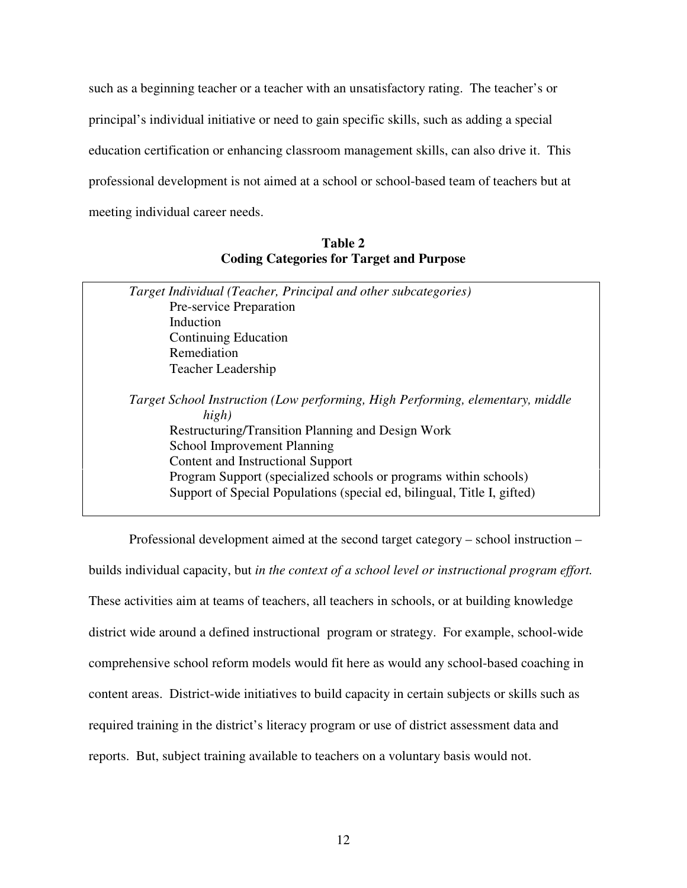such as a beginning teacher or a teacher with an unsatisfactory rating. The teacher's or principal's individual initiative or need to gain specific skills, such as adding a special education certification or enhancing classroom management skills, can also drive it. This professional development is not aimed at a school or school-based team of teachers but at meeting individual career needs.

**Table 2 Coding Categories for Target and Purpose** 

|             | Target Individual (Teacher, Principal and other subcategories)                                                                                                                                                                                                                                                                                                         |
|-------------|------------------------------------------------------------------------------------------------------------------------------------------------------------------------------------------------------------------------------------------------------------------------------------------------------------------------------------------------------------------------|
|             | <b>Pre-service Preparation</b>                                                                                                                                                                                                                                                                                                                                         |
| Induction   |                                                                                                                                                                                                                                                                                                                                                                        |
|             | Continuing Education                                                                                                                                                                                                                                                                                                                                                   |
| Remediation |                                                                                                                                                                                                                                                                                                                                                                        |
|             | Teacher Leadership                                                                                                                                                                                                                                                                                                                                                     |
|             | Target School Instruction (Low performing, High Performing, elementary, middle<br>high)<br>Restructuring/Transition Planning and Design Work<br><b>School Improvement Planning</b><br>Content and Instructional Support<br>Program Support (specialized schools or programs within schools)<br>Support of Special Populations (special ed, bilingual, Title I, gifted) |

Professional development aimed at the second target category – school instruction – builds individual capacity, but *in the context of a school level or instructional program effort.*  These activities aim at teams of teachers, all teachers in schools, or at building knowledge district wide around a defined instructional program or strategy. For example, school-wide comprehensive school reform models would fit here as would any school-based coaching in content areas. District-wide initiatives to build capacity in certain subjects or skills such as required training in the district's literacy program or use of district assessment data and reports. But, subject training available to teachers on a voluntary basis would not.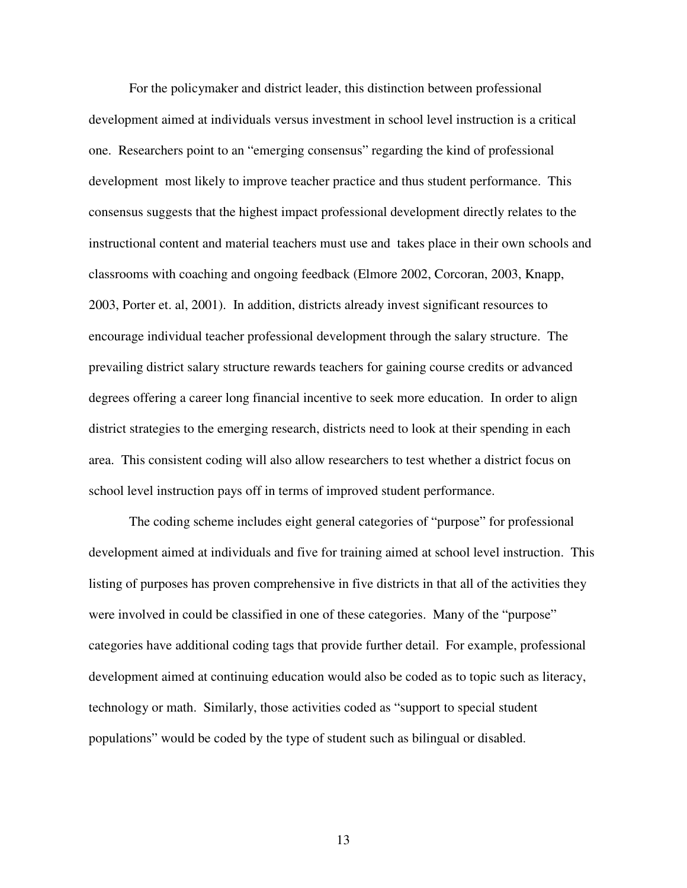For the policymaker and district leader, this distinction between professional development aimed at individuals versus investment in school level instruction is a critical one. Researchers point to an "emerging consensus" regarding the kind of professional development most likely to improve teacher practice and thus student performance. This consensus suggests that the highest impact professional development directly relates to the instructional content and material teachers must use and takes place in their own schools and classrooms with coaching and ongoing feedback (Elmore 2002, Corcoran, 2003, Knapp, 2003, Porter et. al, 2001). In addition, districts already invest significant resources to encourage individual teacher professional development through the salary structure. The prevailing district salary structure rewards teachers for gaining course credits or advanced degrees offering a career long financial incentive to seek more education. In order to align district strategies to the emerging research, districts need to look at their spending in each area. This consistent coding will also allow researchers to test whether a district focus on school level instruction pays off in terms of improved student performance.

The coding scheme includes eight general categories of "purpose" for professional development aimed at individuals and five for training aimed at school level instruction. This listing of purposes has proven comprehensive in five districts in that all of the activities they were involved in could be classified in one of these categories. Many of the "purpose" categories have additional coding tags that provide further detail. For example, professional development aimed at continuing education would also be coded as to topic such as literacy, technology or math. Similarly, those activities coded as "support to special student populations" would be coded by the type of student such as bilingual or disabled.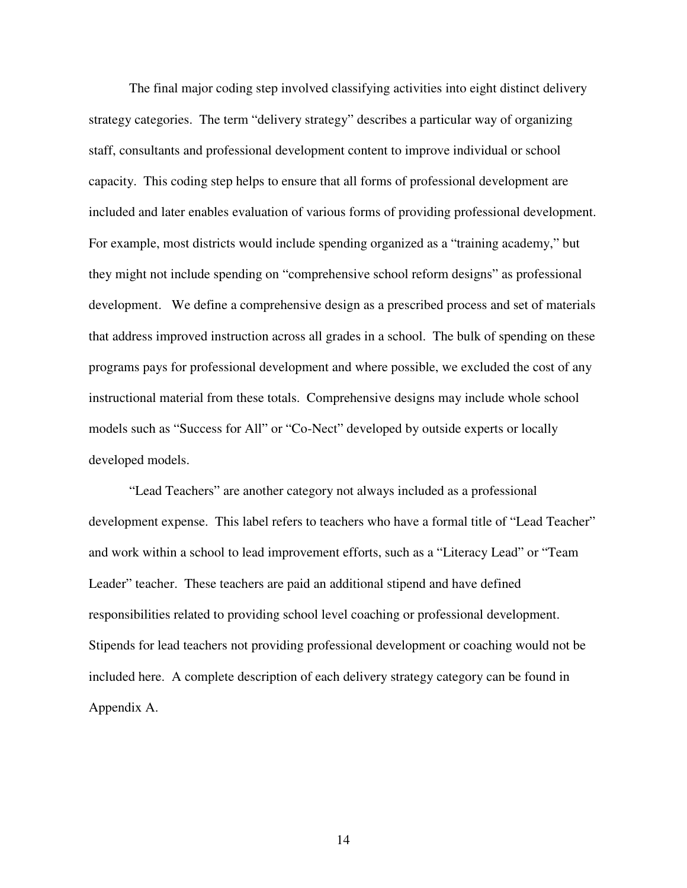The final major coding step involved classifying activities into eight distinct delivery strategy categories. The term "delivery strategy" describes a particular way of organizing staff, consultants and professional development content to improve individual or school capacity. This coding step helps to ensure that all forms of professional development are included and later enables evaluation of various forms of providing professional development. For example, most districts would include spending organized as a "training academy," but they might not include spending on "comprehensive school reform designs" as professional development. We define a comprehensive design as a prescribed process and set of materials that address improved instruction across all grades in a school. The bulk of spending on these programs pays for professional development and where possible, we excluded the cost of any instructional material from these totals. Comprehensive designs may include whole school models such as "Success for All" or "Co-Nect" developed by outside experts or locally developed models.

"Lead Teachers" are another category not always included as a professional development expense. This label refers to teachers who have a formal title of "Lead Teacher" and work within a school to lead improvement efforts, such as a "Literacy Lead" or "Team Leader" teacher. These teachers are paid an additional stipend and have defined responsibilities related to providing school level coaching or professional development. Stipends for lead teachers not providing professional development or coaching would not be included here. A complete description of each delivery strategy category can be found in Appendix A.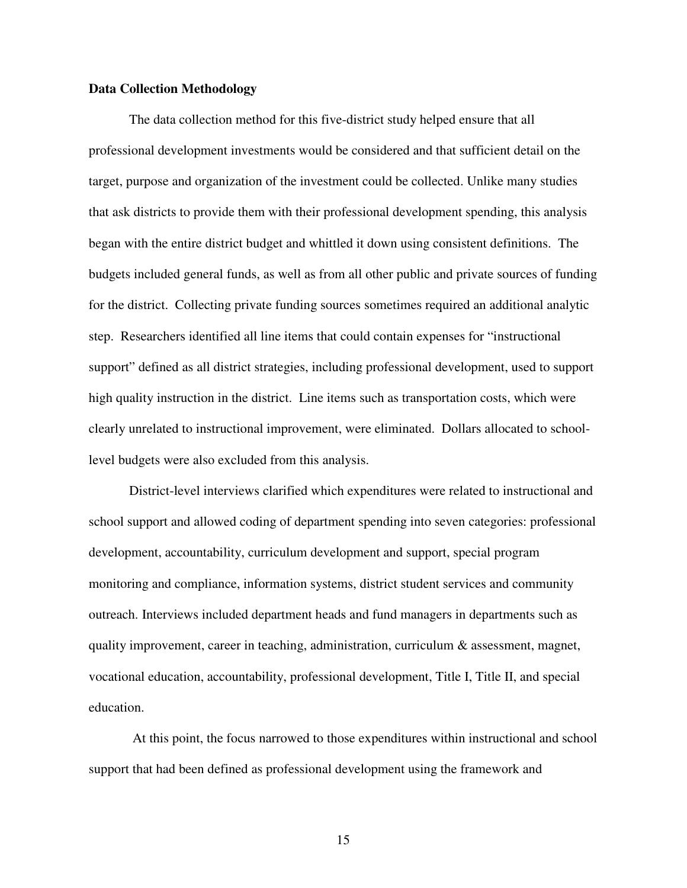#### **Data Collection Methodology**

 The data collection method for this five-district study helped ensure that all professional development investments would be considered and that sufficient detail on the target, purpose and organization of the investment could be collected. Unlike many studies that ask districts to provide them with their professional development spending, this analysis began with the entire district budget and whittled it down using consistent definitions. The budgets included general funds, as well as from all other public and private sources of funding for the district. Collecting private funding sources sometimes required an additional analytic step. Researchers identified all line items that could contain expenses for "instructional support" defined as all district strategies, including professional development, used to support high quality instruction in the district. Line items such as transportation costs, which were clearly unrelated to instructional improvement, were eliminated. Dollars allocated to schoollevel budgets were also excluded from this analysis.

District-level interviews clarified which expenditures were related to instructional and school support and allowed coding of department spending into seven categories: professional development, accountability, curriculum development and support, special program monitoring and compliance, information systems, district student services and community outreach. Interviews included department heads and fund managers in departments such as quality improvement, career in teaching, administration, curriculum & assessment, magnet, vocational education, accountability, professional development, Title I, Title II, and special education.

 At this point, the focus narrowed to those expenditures within instructional and school support that had been defined as professional development using the framework and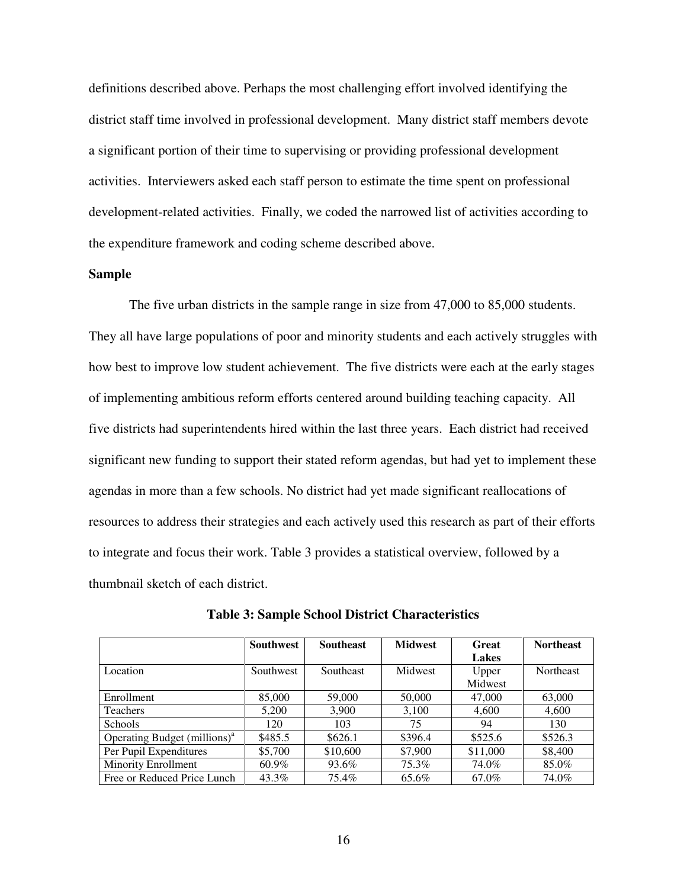definitions described above. Perhaps the most challenging effort involved identifying the district staff time involved in professional development. Many district staff members devote a significant portion of their time to supervising or providing professional development activities. Interviewers asked each staff person to estimate the time spent on professional development-related activities. Finally, we coded the narrowed list of activities according to the expenditure framework and coding scheme described above.

#### **Sample**

The five urban districts in the sample range in size from 47,000 to 85,000 students. They all have large populations of poor and minority students and each actively struggles with how best to improve low student achievement. The five districts were each at the early stages of implementing ambitious reform efforts centered around building teaching capacity. All five districts had superintendents hired within the last three years. Each district had received significant new funding to support their stated reform agendas, but had yet to implement these agendas in more than a few schools. No district had yet made significant reallocations of resources to address their strategies and each actively used this research as part of their efforts to integrate and focus their work. Table 3 provides a statistical overview, followed by a thumbnail sketch of each district.

|                                 | <b>Southwest</b> | <b>Southeast</b> | <b>Midwest</b> | <b>Great</b> | <b>Northeast</b> |
|---------------------------------|------------------|------------------|----------------|--------------|------------------|
|                                 |                  |                  |                | <b>Lakes</b> |                  |
| Location                        | Southwest        | <b>Southeast</b> | Midwest        | Upper        | <b>Northeast</b> |
|                                 |                  |                  |                | Midwest      |                  |
| Enrollment                      | 85,000           | 59,000           | 50,000         | 47,000       | 63,000           |
| <b>Teachers</b>                 | 5.200            | 3.900            | 3,100          | 4.600        | 4,600            |
| <b>Schools</b>                  | 120              | 103              | 75             | 94           | 130              |
| Operating Budget $(millions)^a$ | \$485.5          | \$626.1          | \$396.4        | \$525.6      | \$526.3          |
| Per Pupil Expenditures          | \$5,700          | \$10,600         | \$7,900        | \$11,000     | \$8,400          |
| <b>Minority Enrollment</b>      | 60.9%            | 93.6%            | 75.3%          | 74.0%        | 85.0%            |
| Free or Reduced Price Lunch     | 43.3%            | 75.4%            | 65.6%          | 67.0%        | 74.0%            |

**Table 3: Sample School District Characteristics**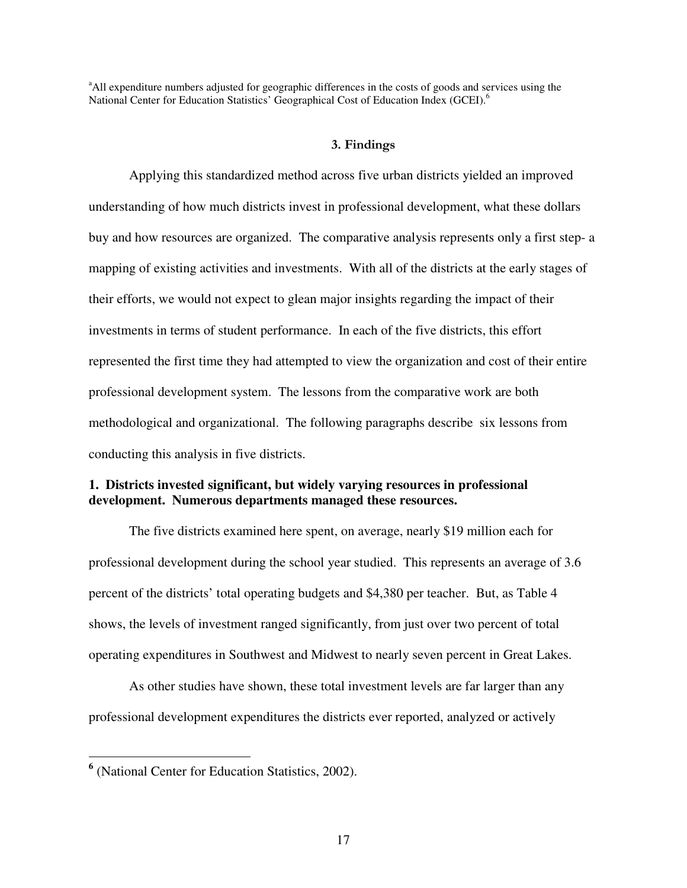<sup>a</sup>All expenditure numbers adjusted for geographic differences in the costs of goods and services using the National Center for Education Statistics' Geographical Cost of Education Index (GCEI).<sup>6</sup>

#### 3. Findings

Applying this standardized method across five urban districts yielded an improved understanding of how much districts invest in professional development, what these dollars buy and how resources are organized. The comparative analysis represents only a first step- a mapping of existing activities and investments. With all of the districts at the early stages of their efforts, we would not expect to glean major insights regarding the impact of their investments in terms of student performance. In each of the five districts, this effort represented the first time they had attempted to view the organization and cost of their entire professional development system. The lessons from the comparative work are both methodological and organizational. The following paragraphs describe six lessons from conducting this analysis in five districts.

### **1. Districts invested significant, but widely varying resources in professional development. Numerous departments managed these resources.**

 The five districts examined here spent, on average, nearly \$19 million each for professional development during the school year studied. This represents an average of 3.6 percent of the districts' total operating budgets and \$4,380 per teacher. But, as Table 4 shows, the levels of investment ranged significantly, from just over two percent of total operating expenditures in Southwest and Midwest to nearly seven percent in Great Lakes.

As other studies have shown, these total investment levels are far larger than any professional development expenditures the districts ever reported, analyzed or actively

 $\overline{a}$ 

**<sup>6</sup>** (National Center for Education Statistics, 2002).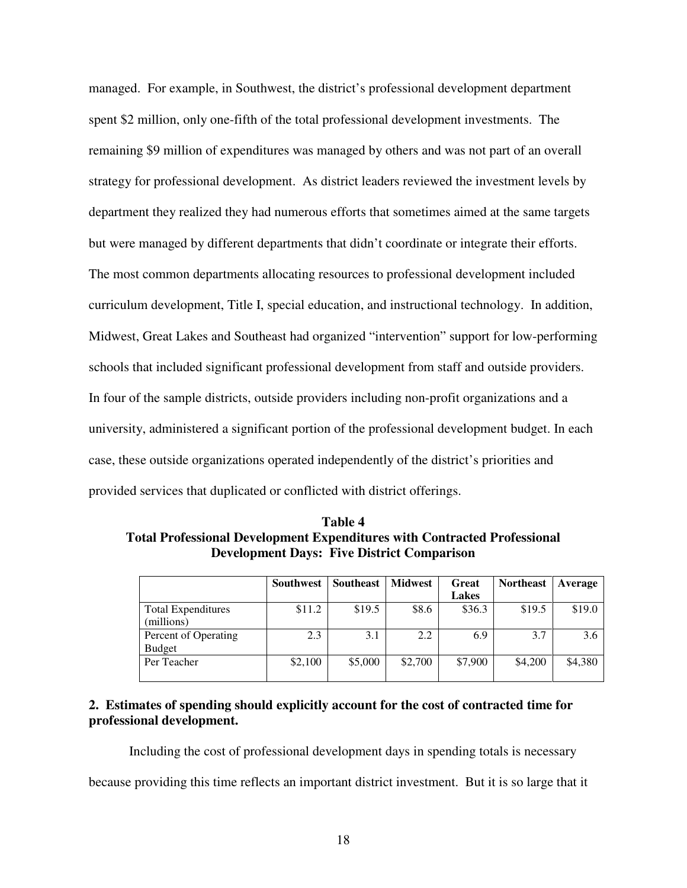managed. For example, in Southwest, the district's professional development department spent \$2 million, only one-fifth of the total professional development investments. The remaining \$9 million of expenditures was managed by others and was not part of an overall strategy for professional development. As district leaders reviewed the investment levels by department they realized they had numerous efforts that sometimes aimed at the same targets but were managed by different departments that didn't coordinate or integrate their efforts. The most common departments allocating resources to professional development included curriculum development, Title I, special education, and instructional technology. In addition, Midwest, Great Lakes and Southeast had organized "intervention" support for low-performing schools that included significant professional development from staff and outside providers. In four of the sample districts, outside providers including non-profit organizations and a university, administered a significant portion of the professional development budget. In each case, these outside organizations operated independently of the district's priorities and provided services that duplicated or conflicted with district offerings.

**Table 4 Total Professional Development Expenditures with Contracted Professional Development Days: Five District Comparison** 

|                           | <b>Southwest</b> | <b>Southeast</b> | <b>Midwest</b> | Great        | <b>Northeast</b> | Average |
|---------------------------|------------------|------------------|----------------|--------------|------------------|---------|
|                           |                  |                  |                | <b>Lakes</b> |                  |         |
| <b>Total Expenditures</b> | \$11.2           | \$19.5           | \$8.6          | \$36.3       | \$19.5           | \$19.0  |
| (millions)                |                  |                  |                |              |                  |         |
| Percent of Operating      | 2.3              | 3.1              | 2.2            | 6.9          | 3.7              | 3.6     |
| <b>Budget</b>             |                  |                  |                |              |                  |         |
| Per Teacher               | \$2,100          | \$5,000          | \$2,700        | \$7,900      | \$4,200          | \$4,380 |
|                           |                  |                  |                |              |                  |         |

## **2. Estimates of spending should explicitly account for the cost of contracted time for professional development.**

Including the cost of professional development days in spending totals is necessary

because providing this time reflects an important district investment. But it is so large that it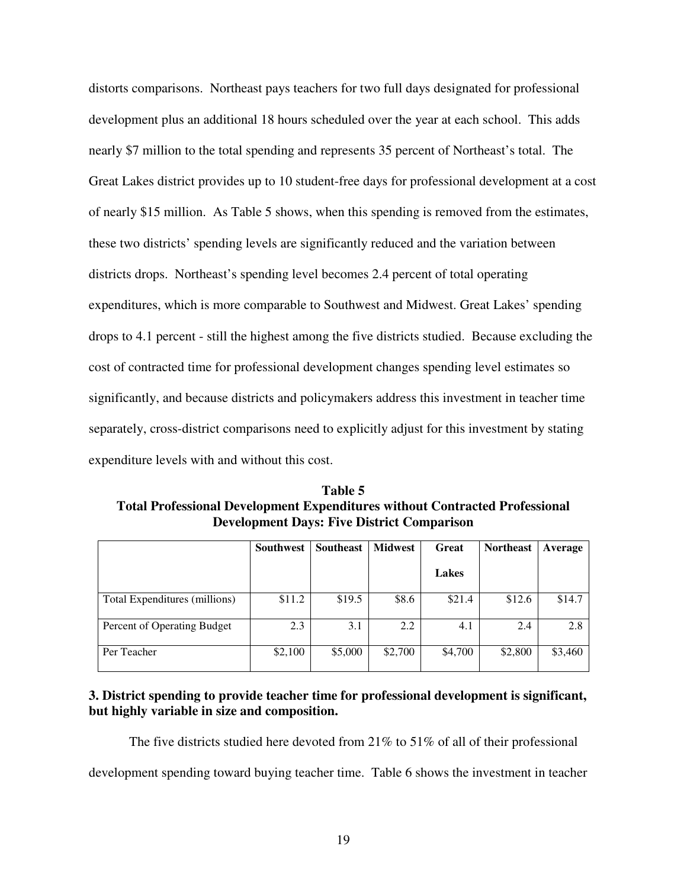distorts comparisons. Northeast pays teachers for two full days designated for professional development plus an additional 18 hours scheduled over the year at each school. This adds nearly \$7 million to the total spending and represents 35 percent of Northeast's total. The Great Lakes district provides up to 10 student-free days for professional development at a cost of nearly \$15 million. As Table 5 shows, when this spending is removed from the estimates, these two districts' spending levels are significantly reduced and the variation between districts drops. Northeast's spending level becomes 2.4 percent of total operating expenditures, which is more comparable to Southwest and Midwest. Great Lakes' spending drops to 4.1 percent - still the highest among the five districts studied. Because excluding the cost of contracted time for professional development changes spending level estimates so significantly, and because districts and policymakers address this investment in teacher time separately, cross-district comparisons need to explicitly adjust for this investment by stating expenditure levels with and without this cost.

**Table 5 Total Professional Development Expenditures without Contracted Professional Development Days: Five District Comparison** 

|                               | <b>Southwest</b> | <b>Southeast</b> | <b>Midwest</b> | <b>Great</b> | <b>Northeast</b> | Average |
|-------------------------------|------------------|------------------|----------------|--------------|------------------|---------|
|                               |                  |                  |                | Lakes        |                  |         |
| Total Expenditures (millions) | \$11.2           | \$19.5           | \$8.6          | \$21.4       | \$12.6           | \$14.7  |
| Percent of Operating Budget   | 2.3              | 3.1              | 2.2            | 4.1          | 2.4              | 2.8     |
| Per Teacher                   | \$2,100          | \$5,000          | \$2,700        | \$4,700      | \$2,800          | \$3,460 |

## **3. District spending to provide teacher time for professional development is significant, but highly variable in size and composition.**

The five districts studied here devoted from  $21\%$  to  $51\%$  of all of their professional

development spending toward buying teacher time. Table 6 shows the investment in teacher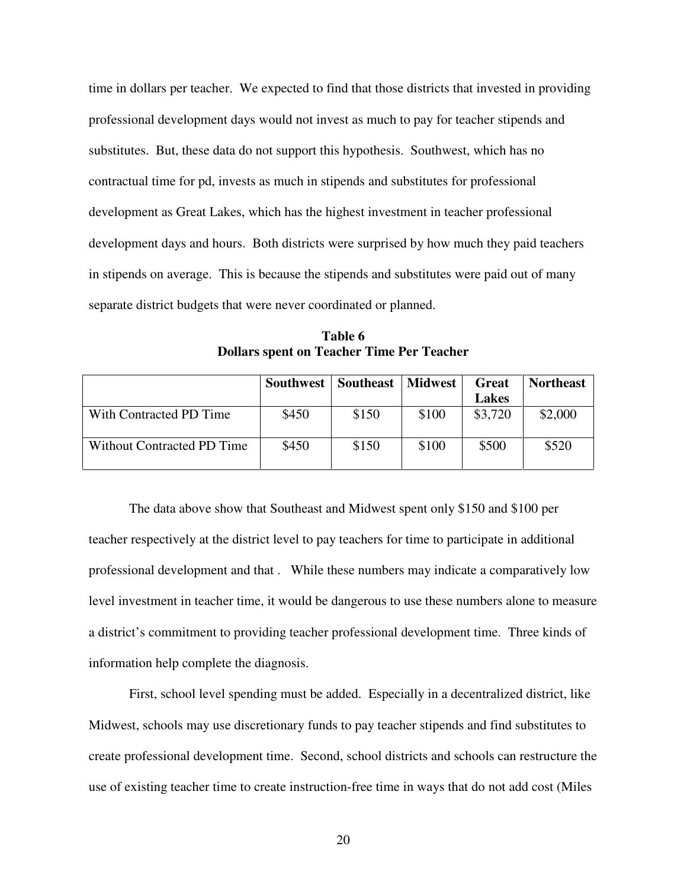time in dollars per teacher. We expected to find that those districts that invested in providing professional development days would not invest as much to pay for teacher stipends and substitutes. But, these data do not support this hypothesis. Southwest, which has no contractual time for pd, invests as much in stipends and substitutes for professional development as Great Lakes, which has the highest investment in teacher professional development days and hours. Both districts were surprised by how much they paid teachers in stipends on average. This is because the stipends and substitutes were paid out of many separate district budgets that were never coordinated or planned.

**Table 6 Dollars spent on Teacher Time Per Teacher** 

|                            | <b>Southwest</b> | Southeast | Midwest | Great        | <b>Northeast</b> |
|----------------------------|------------------|-----------|---------|--------------|------------------|
|                            |                  |           |         | <b>Lakes</b> |                  |
| With Contracted PD Time    | \$450            | \$150     | \$100   | \$3,720      | \$2,000          |
| Without Contracted PD Time | \$450            | \$150     | \$100   | \$500        | \$520            |

The data above show that Southeast and Midwest spent only \$150 and \$100 per teacher respectively at the district level to pay teachers for time to participate in additional professional development and that . While these numbers may indicate a comparatively low level investment in teacher time, it would be dangerous to use these numbers alone to measure a district's commitment to providing teacher professional development time. Three kinds of information help complete the diagnosis.

First, school level spending must be added. Especially in a decentralized district, like Midwest, schools may use discretionary funds to pay teacher stipends and find substitutes to create professional development time. Second, school districts and schools can restructure the use of existing teacher time to create instruction-free time in ways that do not add cost (Miles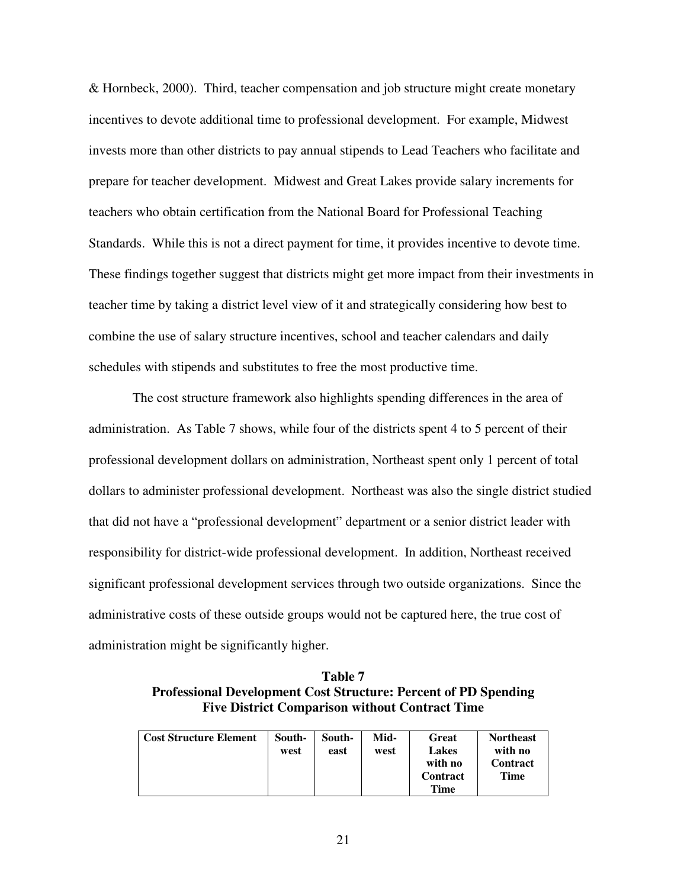& Hornbeck, 2000). Third, teacher compensation and job structure might create monetary incentives to devote additional time to professional development. For example, Midwest invests more than other districts to pay annual stipends to Lead Teachers who facilitate and prepare for teacher development. Midwest and Great Lakes provide salary increments for teachers who obtain certification from the National Board for Professional Teaching Standards. While this is not a direct payment for time, it provides incentive to devote time. These findings together suggest that districts might get more impact from their investments in teacher time by taking a district level view of it and strategically considering how best to combine the use of salary structure incentives, school and teacher calendars and daily schedules with stipends and substitutes to free the most productive time.

 The cost structure framework also highlights spending differences in the area of administration. As Table 7 shows, while four of the districts spent 4 to 5 percent of their professional development dollars on administration, Northeast spent only 1 percent of total dollars to administer professional development. Northeast was also the single district studied that did not have a "professional development" department or a senior district leader with responsibility for district-wide professional development. In addition, Northeast received significant professional development services through two outside organizations. Since the administrative costs of these outside groups would not be captured here, the true cost of administration might be significantly higher.

**Table 7 Professional Development Cost Structure: Percent of PD Spending Five District Comparison without Contract Time** 

| <b>Cost Structure Element</b> | South-<br>west | South-<br>east | Mid-<br>west | <b>Great</b><br><b>Lakes</b><br>with no<br>Contract<br>Time | <b>Northeast</b><br>with no<br><b>Contract</b><br>Time |
|-------------------------------|----------------|----------------|--------------|-------------------------------------------------------------|--------------------------------------------------------|
|-------------------------------|----------------|----------------|--------------|-------------------------------------------------------------|--------------------------------------------------------|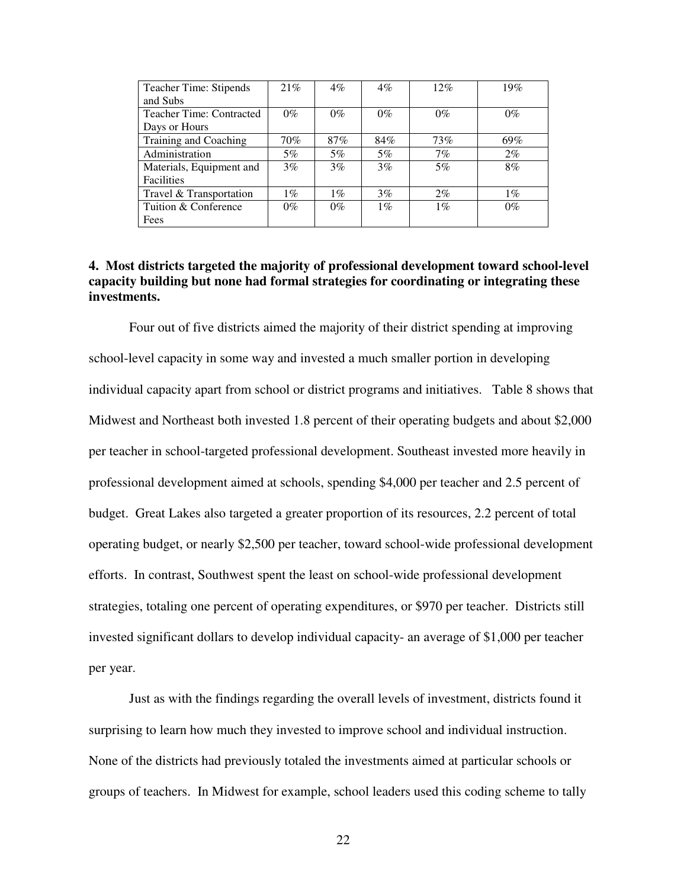| Teacher Time: Stipends          | 21%   | $4\%$ | $4\%$ | 12%   | 19%   |
|---------------------------------|-------|-------|-------|-------|-------|
| and Subs                        |       |       |       |       |       |
| <b>Teacher Time: Contracted</b> | $0\%$ | $0\%$ | $0\%$ | $0\%$ | $0\%$ |
| Days or Hours                   |       |       |       |       |       |
| Training and Coaching           | 70%   | 87%   | 84%   | 73%   | 69%   |
| Administration                  | $5\%$ | 5%    | $5\%$ | 7%    | $2\%$ |
| Materials, Equipment and        | $3\%$ | 3%    | 3%    | 5%    | 8%    |
| Facilities                      |       |       |       |       |       |
| Travel & Transportation         | $1\%$ | $1\%$ | 3%    | $2\%$ | $1\%$ |
| Tuition & Conference            | $0\%$ | $0\%$ | $1\%$ | $1\%$ | $0\%$ |
| Fees                            |       |       |       |       |       |

## **4. Most districts targeted the majority of professional development toward school-level capacity building but none had formal strategies for coordinating or integrating these investments.**

 Four out of five districts aimed the majority of their district spending at improving school-level capacity in some way and invested a much smaller portion in developing individual capacity apart from school or district programs and initiatives. Table 8 shows that Midwest and Northeast both invested 1.8 percent of their operating budgets and about \$2,000 per teacher in school-targeted professional development. Southeast invested more heavily in professional development aimed at schools, spending \$4,000 per teacher and 2.5 percent of budget. Great Lakes also targeted a greater proportion of its resources, 2.2 percent of total operating budget, or nearly \$2,500 per teacher, toward school-wide professional development efforts. In contrast, Southwest spent the least on school-wide professional development strategies, totaling one percent of operating expenditures, or \$970 per teacher. Districts still invested significant dollars to develop individual capacity- an average of \$1,000 per teacher per year.

 Just as with the findings regarding the overall levels of investment, districts found it surprising to learn how much they invested to improve school and individual instruction. None of the districts had previously totaled the investments aimed at particular schools or groups of teachers. In Midwest for example, school leaders used this coding scheme to tally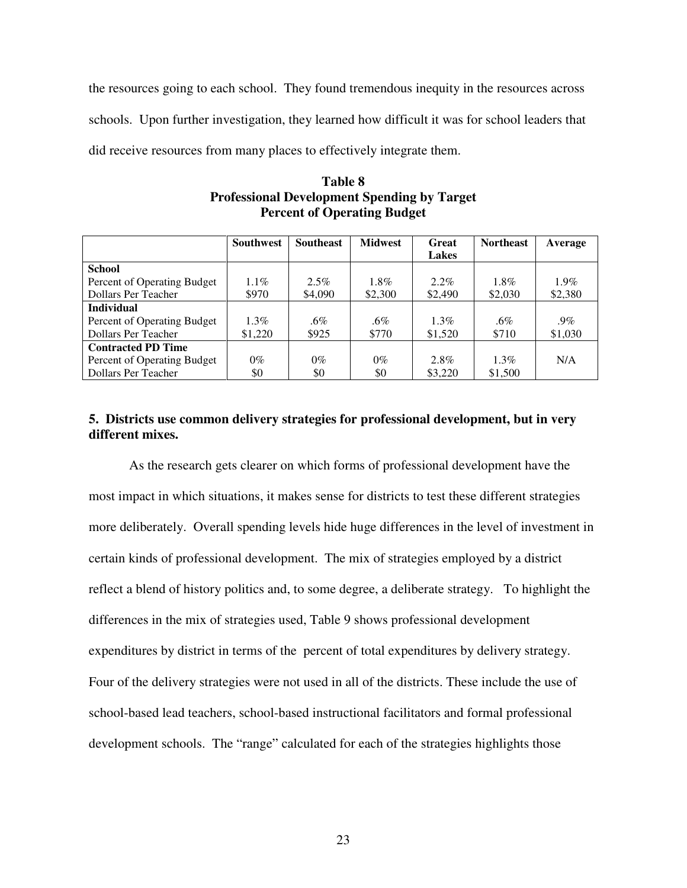the resources going to each school. They found tremendous inequity in the resources across schools. Upon further investigation, they learned how difficult it was for school leaders that did receive resources from many places to effectively integrate them.

|                             | <b>Southwest</b> | <b>Southeast</b> | <b>Midwest</b> | Great        | <b>Northeast</b> | Average |
|-----------------------------|------------------|------------------|----------------|--------------|------------------|---------|
|                             |                  |                  |                | <b>Lakes</b> |                  |         |
| <b>School</b>               |                  |                  |                |              |                  |         |
| Percent of Operating Budget | $1.1\%$          | $2.5\%$          | $1.8\%$        | $2.2\%$      | $1.8\%$          | $1.9\%$ |
| Dollars Per Teacher         | \$970            | \$4,090          | \$2,300        | \$2,490      | \$2,030          | \$2,380 |
| <b>Individual</b>           |                  |                  |                |              |                  |         |
| Percent of Operating Budget | $1.3\%$          | $.6\%$           | .6%            | $1.3\%$      | $.6\%$           | $.9\%$  |
| Dollars Per Teacher         | \$1,220          | \$925            | \$770          | \$1,520      | \$710            | \$1,030 |
| <b>Contracted PD Time</b>   |                  |                  |                |              |                  |         |
| Percent of Operating Budget | $0\%$            | $0\%$            | $0\%$          | 2.8%         | $1.3\%$          | N/A     |
| Dollars Per Teacher         | \$0              | \$0              | \$0            | \$3,220      | \$1,500          |         |

## **Table 8 Professional Development Spending by Target Percent of Operating Budget**

# **5. Districts use common delivery strategies for professional development, but in very different mixes.**

As the research gets clearer on which forms of professional development have the most impact in which situations, it makes sense for districts to test these different strategies more deliberately. Overall spending levels hide huge differences in the level of investment in certain kinds of professional development. The mix of strategies employed by a district reflect a blend of history politics and, to some degree, a deliberate strategy. To highlight the differences in the mix of strategies used, Table 9 shows professional development expenditures by district in terms of the percent of total expenditures by delivery strategy. Four of the delivery strategies were not used in all of the districts. These include the use of school-based lead teachers, school-based instructional facilitators and formal professional development schools. The "range" calculated for each of the strategies highlights those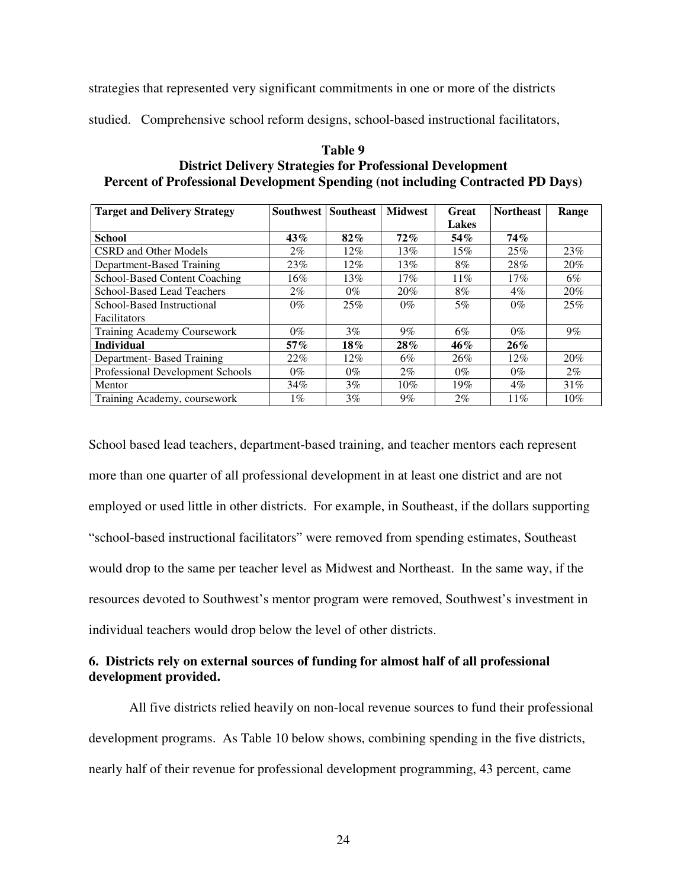strategies that represented very significant commitments in one or more of the districts

studied. Comprehensive school reform designs, school-based instructional facilitators,

## **Table 9 District Delivery Strategies for Professional Development Percent of Professional Development Spending (not including Contracted PD Days)**

| <b>Target and Delivery Strategy</b> | <b>Southwest</b> | <b>Southeast</b> | <b>Midwest</b> | Great  | <b>Northeast</b> | Range |
|-------------------------------------|------------------|------------------|----------------|--------|------------------|-------|
|                                     |                  |                  |                | Lakes  |                  |       |
| <b>School</b>                       | 43%              | $82\%$           | 72%            | 54%    | $74\%$           |       |
| <b>CSRD</b> and Other Models        | $2\%$            | 12%              | 13%            | 15%    | 25%              | 23%   |
| Department-Based Training           | 23%              | $12\%$           | 13%            | 8%     | 28%              | 20%   |
| School-Based Content Coaching       | 16%              | 13%              | 17%            | $11\%$ | 17%              | 6%    |
| <b>School-Based Lead Teachers</b>   | $2\%$            | $0\%$            | 20%            | 8%     | $4\%$            | 20%   |
| School-Based Instructional          | $0\%$            | 25%              | $0\%$          | $5\%$  | $0\%$            | 25%   |
| <b>Facilitators</b>                 |                  |                  |                |        |                  |       |
| <b>Training Academy Coursework</b>  | $0\%$            | $3\%$            | $9\%$          | 6%     | $0\%$            | $9\%$ |
| <b>Individual</b>                   | $57\%$           | $18\%$           | 28%            | 46%    | 26%              |       |
| Department-Based Training           | 22%              | 12%              | 6%             | 26%    | $12\%$           | 20%   |
| Professional Development Schools    | $0\%$            | $0\%$            | $2\%$          | $0\%$  | $0\%$            | $2\%$ |
| Mentor                              | 34%              | $3\%$            | $10\%$         | $19\%$ | $4\%$            | 31%   |
| Training Academy, coursework        | $1\%$            | 3%               | $9\%$          | $2\%$  | 11%              | 10%   |

School based lead teachers, department-based training, and teacher mentors each represent more than one quarter of all professional development in at least one district and are not employed or used little in other districts. For example, in Southeast, if the dollars supporting "school-based instructional facilitators" were removed from spending estimates, Southeast would drop to the same per teacher level as Midwest and Northeast. In the same way, if the resources devoted to Southwest's mentor program were removed, Southwest's investment in individual teachers would drop below the level of other districts.

## **6. Districts rely on external sources of funding for almost half of all professional development provided.**

 All five districts relied heavily on non-local revenue sources to fund their professional development programs. As Table 10 below shows, combining spending in the five districts, nearly half of their revenue for professional development programming, 43 percent, came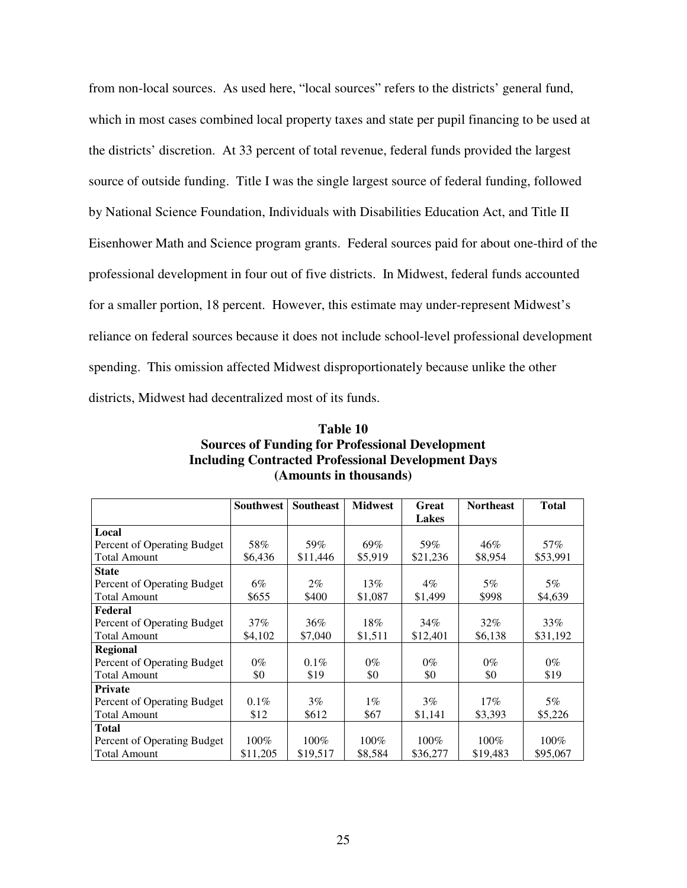from non-local sources. As used here, "local sources" refers to the districts' general fund, which in most cases combined local property taxes and state per pupil financing to be used at the districts' discretion. At 33 percent of total revenue, federal funds provided the largest source of outside funding. Title I was the single largest source of federal funding, followed by National Science Foundation, Individuals with Disabilities Education Act, and Title II Eisenhower Math and Science program grants. Federal sources paid for about one-third of the professional development in four out of five districts. In Midwest, federal funds accounted for a smaller portion, 18 percent. However, this estimate may under-represent Midwest's reliance on federal sources because it does not include school-level professional development spending. This omission affected Midwest disproportionately because unlike the other districts, Midwest had decentralized most of its funds.

|                             | Southwest | <b>Southeast</b> | <b>Midwest</b> | Great        | <b>Northeast</b> | <b>Total</b> |
|-----------------------------|-----------|------------------|----------------|--------------|------------------|--------------|
|                             |           |                  |                | <b>Lakes</b> |                  |              |
| Local                       |           |                  |                |              |                  |              |
| Percent of Operating Budget | 58%       | 59%              | 69%            | 59%          | 46%              | 57%          |
| <b>Total Amount</b>         | \$6,436   | \$11,446         | \$5,919        | \$21,236     | \$8,954          | \$53,991     |
| <b>State</b>                |           |                  |                |              |                  |              |
| Percent of Operating Budget | 6%        | $2\%$            | 13%            | $4\%$        | $5\%$            | $5\%$        |
| <b>Total Amount</b>         | \$655     | \$400            | \$1,087        | \$1,499      | \$998            | \$4,639      |
| Federal                     |           |                  |                |              |                  |              |
| Percent of Operating Budget | $37\%$    | 36%              | 18%            | 34%          | $32\%$           | 33%          |
| <b>Total Amount</b>         | \$4,102   | \$7,040          | \$1,511        | \$12,401     | \$6,138          | \$31,192     |
| Regional                    |           |                  |                |              |                  |              |
| Percent of Operating Budget | $0\%$     | $0.1\%$          | $0\%$          | $0\%$        | $0\%$            | $0\%$        |
| <b>Total Amount</b>         | \$0       | \$19             | \$0            | \$0          | \$0              | \$19         |
| <b>Private</b>              |           |                  |                |              |                  |              |
| Percent of Operating Budget | $0.1\%$   | $3\%$            | $1\%$          | $3\%$        | $17\%$           | $5\%$        |
| <b>Total Amount</b>         | \$12      | \$612            | \$67           | \$1,141      | \$3,393          | \$5,226      |
| <b>Total</b>                |           |                  |                |              |                  |              |
| Percent of Operating Budget | 100%      | 100%             | 100%           | 100%         | 100%             | 100%         |
| <b>Total Amount</b>         | \$11,205  | \$19,517         | \$8,584        | \$36,277     | \$19,483         | \$95,067     |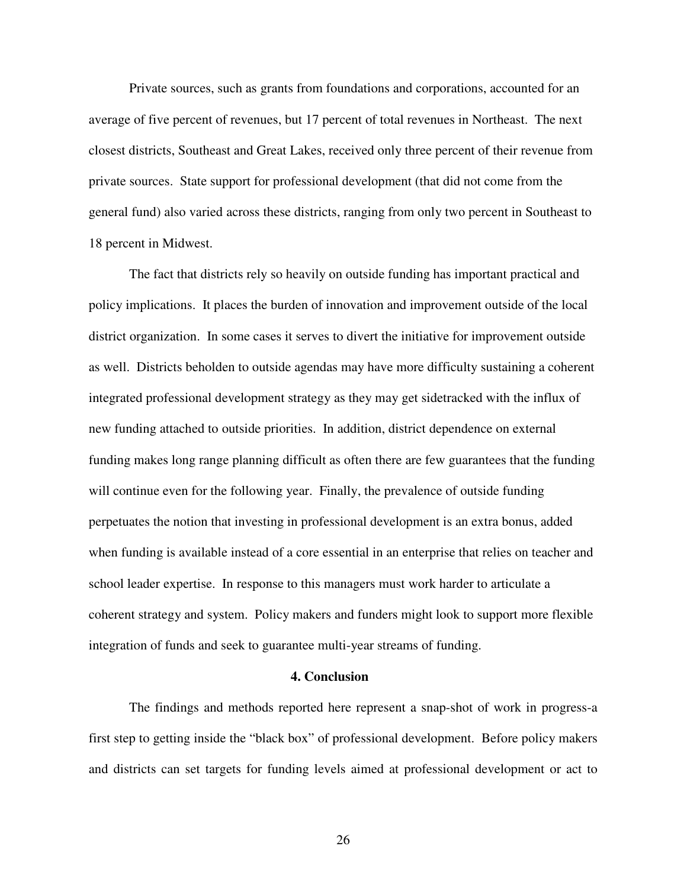Private sources, such as grants from foundations and corporations, accounted for an average of five percent of revenues, but 17 percent of total revenues in Northeast. The next closest districts, Southeast and Great Lakes, received only three percent of their revenue from private sources. State support for professional development (that did not come from the general fund) also varied across these districts, ranging from only two percent in Southeast to 18 percent in Midwest.

 The fact that districts rely so heavily on outside funding has important practical and policy implications. It places the burden of innovation and improvement outside of the local district organization. In some cases it serves to divert the initiative for improvement outside as well. Districts beholden to outside agendas may have more difficulty sustaining a coherent integrated professional development strategy as they may get sidetracked with the influx of new funding attached to outside priorities. In addition, district dependence on external funding makes long range planning difficult as often there are few guarantees that the funding will continue even for the following year. Finally, the prevalence of outside funding perpetuates the notion that investing in professional development is an extra bonus, added when funding is available instead of a core essential in an enterprise that relies on teacher and school leader expertise. In response to this managers must work harder to articulate a coherent strategy and system. Policy makers and funders might look to support more flexible integration of funds and seek to guarantee multi-year streams of funding.

#### **4. Conclusion**

 The findings and methods reported here represent a snap-shot of work in progress-a first step to getting inside the "black box" of professional development. Before policy makers and districts can set targets for funding levels aimed at professional development or act to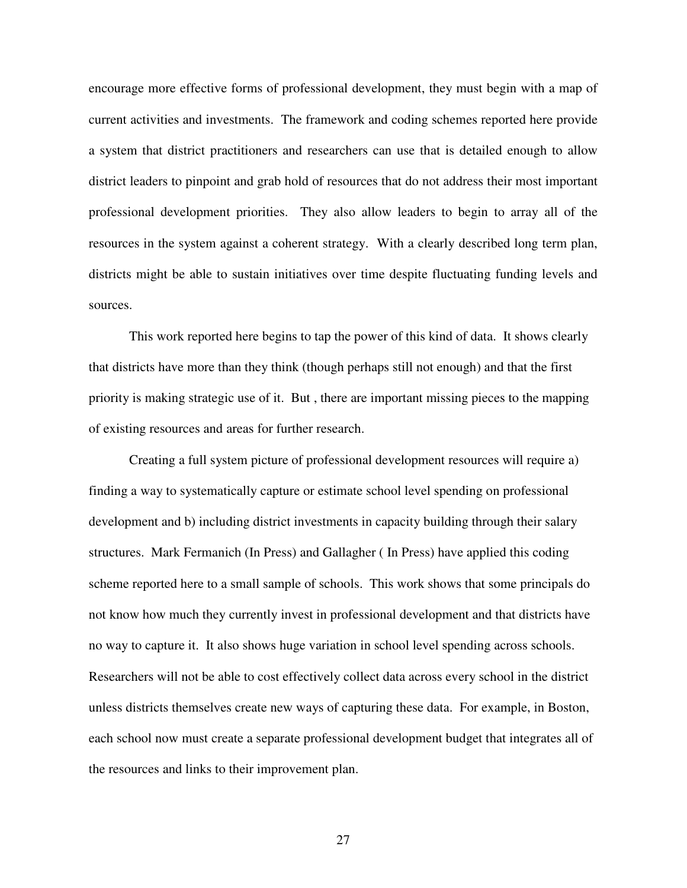encourage more effective forms of professional development, they must begin with a map of current activities and investments. The framework and coding schemes reported here provide a system that district practitioners and researchers can use that is detailed enough to allow district leaders to pinpoint and grab hold of resources that do not address their most important professional development priorities. They also allow leaders to begin to array all of the resources in the system against a coherent strategy. With a clearly described long term plan, districts might be able to sustain initiatives over time despite fluctuating funding levels and sources.

 This work reported here begins to tap the power of this kind of data. It shows clearly that districts have more than they think (though perhaps still not enough) and that the first priority is making strategic use of it. But , there are important missing pieces to the mapping of existing resources and areas for further research.

 Creating a full system picture of professional development resources will require a) finding a way to systematically capture or estimate school level spending on professional development and b) including district investments in capacity building through their salary structures. Mark Fermanich (In Press) and Gallagher ( In Press) have applied this coding scheme reported here to a small sample of schools. This work shows that some principals do not know how much they currently invest in professional development and that districts have no way to capture it. It also shows huge variation in school level spending across schools. Researchers will not be able to cost effectively collect data across every school in the district unless districts themselves create new ways of capturing these data. For example, in Boston, each school now must create a separate professional development budget that integrates all of the resources and links to their improvement plan.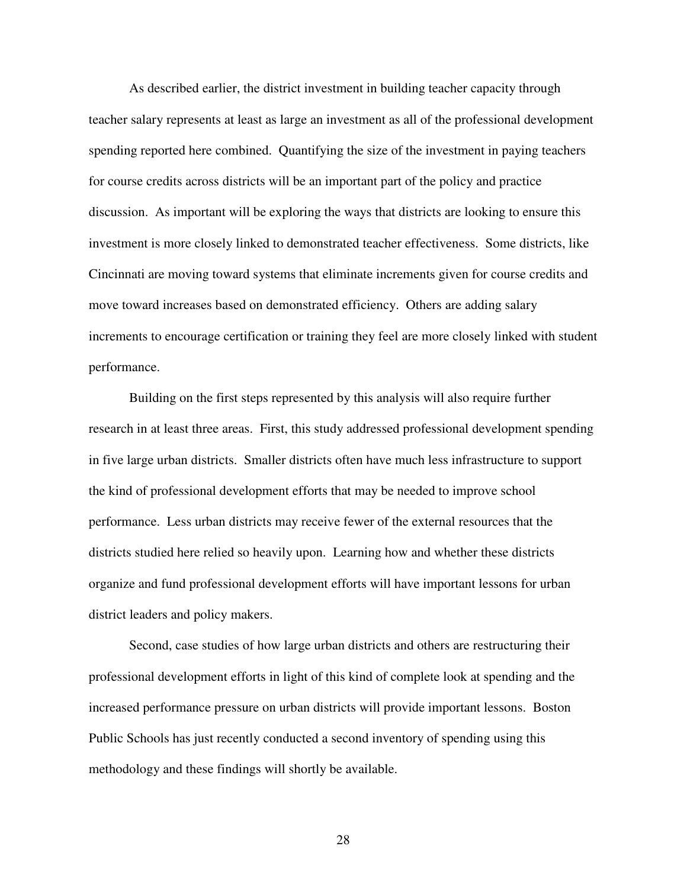As described earlier, the district investment in building teacher capacity through teacher salary represents at least as large an investment as all of the professional development spending reported here combined. Quantifying the size of the investment in paying teachers for course credits across districts will be an important part of the policy and practice discussion. As important will be exploring the ways that districts are looking to ensure this investment is more closely linked to demonstrated teacher effectiveness. Some districts, like Cincinnati are moving toward systems that eliminate increments given for course credits and move toward increases based on demonstrated efficiency. Others are adding salary increments to encourage certification or training they feel are more closely linked with student performance.

 Building on the first steps represented by this analysis will also require further research in at least three areas. First, this study addressed professional development spending in five large urban districts. Smaller districts often have much less infrastructure to support the kind of professional development efforts that may be needed to improve school performance. Less urban districts may receive fewer of the external resources that the districts studied here relied so heavily upon. Learning how and whether these districts organize and fund professional development efforts will have important lessons for urban district leaders and policy makers.

 Second, case studies of how large urban districts and others are restructuring their professional development efforts in light of this kind of complete look at spending and the increased performance pressure on urban districts will provide important lessons. Boston Public Schools has just recently conducted a second inventory of spending using this methodology and these findings will shortly be available.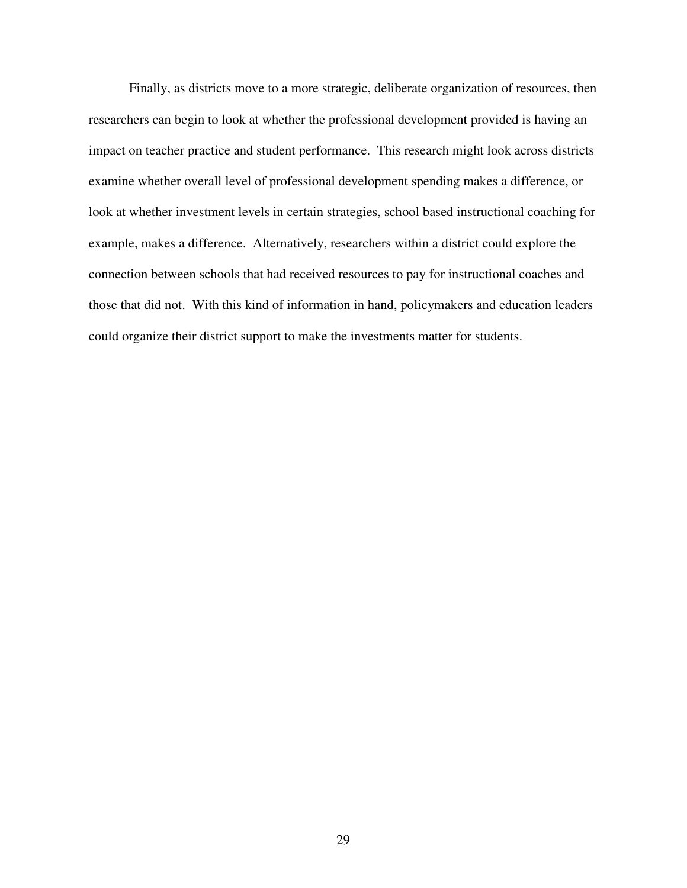Finally, as districts move to a more strategic, deliberate organization of resources, then researchers can begin to look at whether the professional development provided is having an impact on teacher practice and student performance. This research might look across districts examine whether overall level of professional development spending makes a difference, or look at whether investment levels in certain strategies, school based instructional coaching for example, makes a difference. Alternatively, researchers within a district could explore the connection between schools that had received resources to pay for instructional coaches and those that did not. With this kind of information in hand, policymakers and education leaders could organize their district support to make the investments matter for students.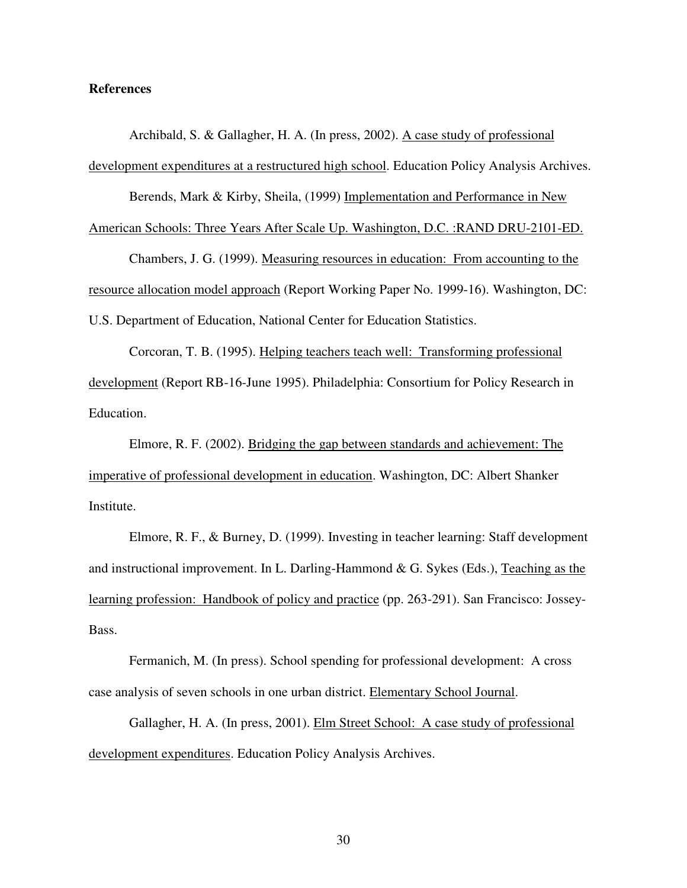#### **References**

 Archibald, S. & Gallagher, H. A. (In press, 2002). A case study of professional development expenditures at a restructured high school. Education Policy Analysis Archives.

Berends, Mark & Kirby, Sheila, (1999) Implementation and Performance in New

American Schools: Three Years After Scale Up. Washington, D.C. :RAND DRU-2101-ED.

 Chambers, J. G. (1999). Measuring resources in education: From accounting to the resource allocation model approach (Report Working Paper No. 1999-16). Washington, DC: U.S. Department of Education, National Center for Education Statistics.

 Corcoran, T. B. (1995). Helping teachers teach well: Transforming professional development (Report RB-16-June 1995). Philadelphia: Consortium for Policy Research in Education.

 Elmore, R. F. (2002). Bridging the gap between standards and achievement: The imperative of professional development in education. Washington, DC: Albert Shanker Institute.

 Elmore, R. F., & Burney, D. (1999). Investing in teacher learning: Staff development and instructional improvement. In L. Darling-Hammond & G. Sykes (Eds.), Teaching as the learning profession: Handbook of policy and practice (pp. 263-291). San Francisco: Jossey-Bass.

 Fermanich, M. (In press). School spending for professional development: A cross case analysis of seven schools in one urban district. Elementary School Journal.

 Gallagher, H. A. (In press, 2001). Elm Street School: A case study of professional development expenditures. Education Policy Analysis Archives.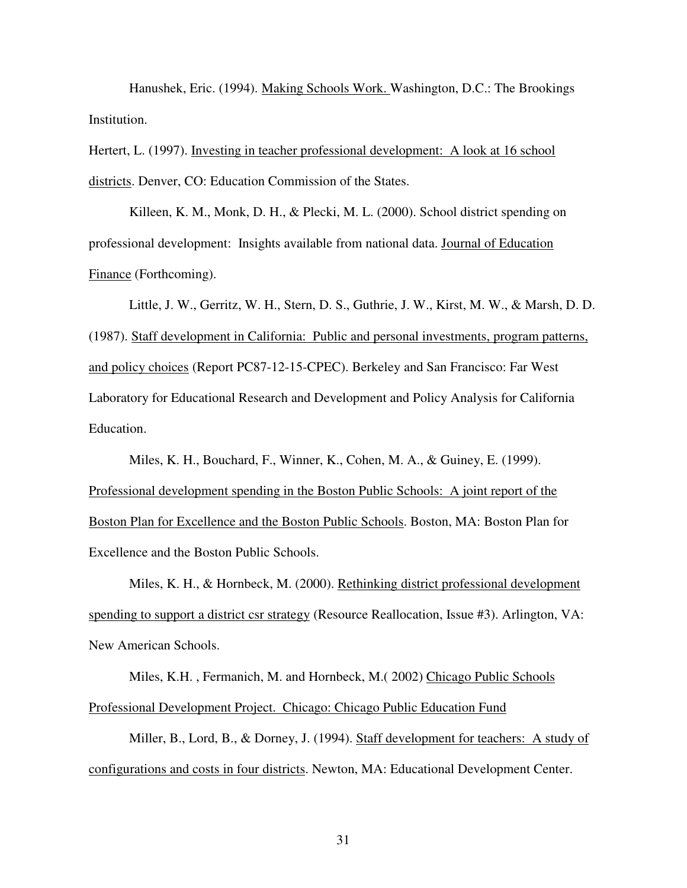Hanushek, Eric. (1994). Making Schools Work. Washington, D.C.: The Brookings Institution.

Hertert, L. (1997). Investing in teacher professional development: A look at 16 school districts. Denver, CO: Education Commission of the States.

Killeen, K. M., Monk, D. H., & Plecki, M. L. (2000). School district spending on professional development: Insights available from national data. Journal of Education Finance (Forthcoming).

 Little, J. W., Gerritz, W. H., Stern, D. S., Guthrie, J. W., Kirst, M. W., & Marsh, D. D. (1987). Staff development in California: Public and personal investments, program patterns, and policy choices (Report PC87-12-15-CPEC). Berkeley and San Francisco: Far West Laboratory for Educational Research and Development and Policy Analysis for California Education.

 Miles, K. H., Bouchard, F., Winner, K., Cohen, M. A., & Guiney, E. (1999). Professional development spending in the Boston Public Schools: A joint report of the Boston Plan for Excellence and the Boston Public Schools. Boston, MA: Boston Plan for Excellence and the Boston Public Schools.

 Miles, K. H., & Hornbeck, M. (2000). Rethinking district professional development spending to support a district csr strategy (Resource Reallocation, Issue #3). Arlington, VA: New American Schools.

 Miles, K.H. , Fermanich, M. and Hornbeck, M.( 2002) Chicago Public Schools Professional Development Project. Chicago: Chicago Public Education Fund

 Miller, B., Lord, B., & Dorney, J. (1994). Staff development for teachers: A study of configurations and costs in four districts. Newton, MA: Educational Development Center.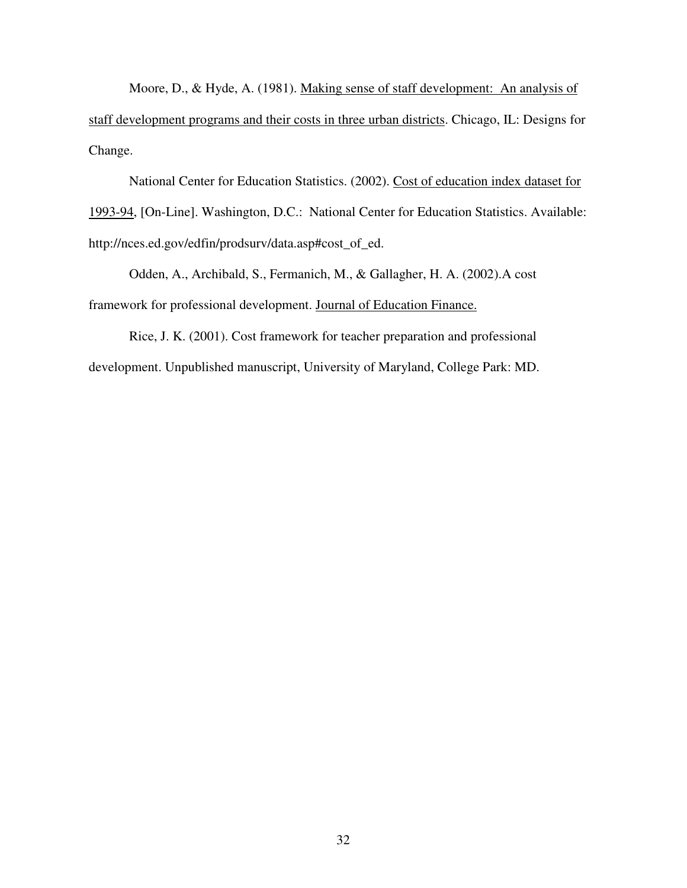Moore, D., & Hyde, A. (1981). Making sense of staff development: An analysis of staff development programs and their costs in three urban districts. Chicago, IL: Designs for Change.

 National Center for Education Statistics. (2002). Cost of education index dataset for 1993-94, [On-Line]. Washington, D.C.: National Center for Education Statistics. Available: http://nces.ed.gov/edfin/prodsurv/data.asp#cost\_of\_ed.

 Odden, A., Archibald, S., Fermanich, M., & Gallagher, H. A. (2002).A cost framework for professional development. Journal of Education Finance.

 Rice, J. K. (2001). Cost framework for teacher preparation and professional development. Unpublished manuscript, University of Maryland, College Park: MD.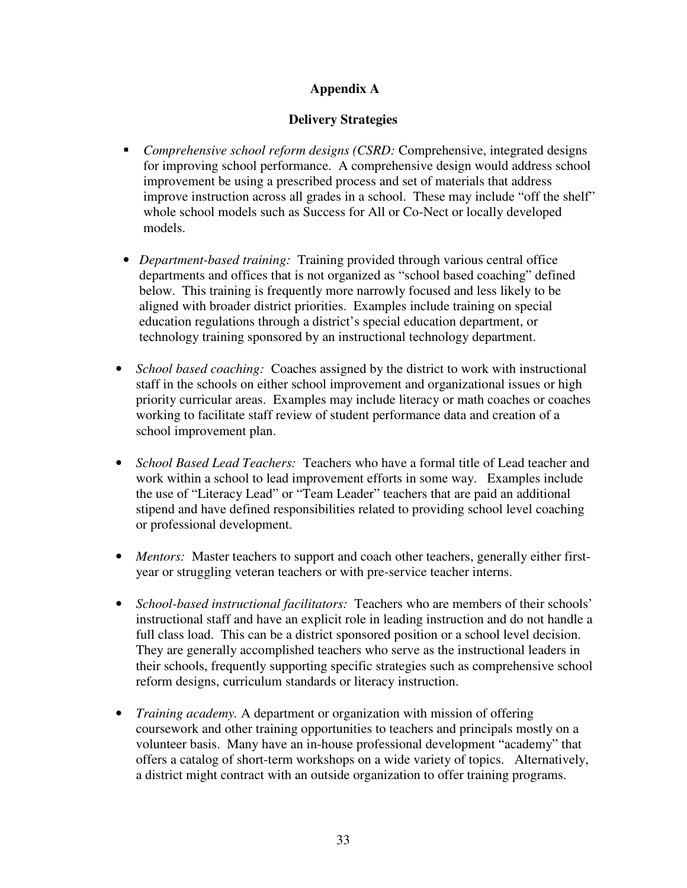# **Appendix A**

# **Delivery Strategies**

- *Comprehensive school reform designs (CSRD:* Comprehensive, integrated designs for improving school performance. A comprehensive design would address school improvement be using a prescribed process and set of materials that address improve instruction across all grades in a school. These may include "off the shelf" whole school models such as Success for All or Co-Nect or locally developed models.
- *Department-based training:* Training provided through various central office departments and offices that is not organized as "school based coaching" defined below. This training is frequently more narrowly focused and less likely to be aligned with broader district priorities. Examples include training on special education regulations through a district's special education department, or technology training sponsored by an instructional technology department.
- *School based coaching:* Coaches assigned by the district to work with instructional staff in the schools on either school improvement and organizational issues or high priority curricular areas. Examples may include literacy or math coaches or coaches working to facilitate staff review of student performance data and creation of a school improvement plan.
- *School Based Lead Teachers:* Teachers who have a formal title of Lead teacher and work within a school to lead improvement efforts in some way. Examples include the use of "Literacy Lead" or "Team Leader" teachers that are paid an additional stipend and have defined responsibilities related to providing school level coaching or professional development.
- *Mentors:* Master teachers to support and coach other teachers, generally either firstyear or struggling veteran teachers or with pre-service teacher interns.
- *School-based instructional facilitators:* Teachers who are members of their schools' instructional staff and have an explicit role in leading instruction and do not handle a full class load. This can be a district sponsored position or a school level decision. They are generally accomplished teachers who serve as the instructional leaders in their schools, frequently supporting specific strategies such as comprehensive school reform designs, curriculum standards or literacy instruction.
- *Training academy.* A department or organization with mission of offering coursework and other training opportunities to teachers and principals mostly on a volunteer basis. Many have an in-house professional development "academy" that offers a catalog of short-term workshops on a wide variety of topics. Alternatively, a district might contract with an outside organization to offer training programs.